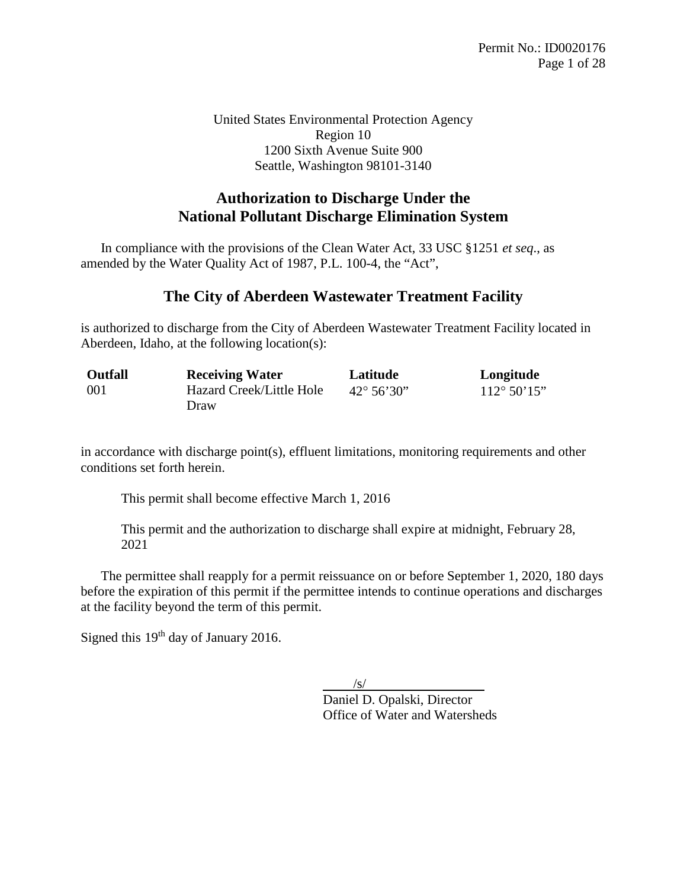United States Environmental Protection Agency Region 10 1200 Sixth Avenue Suite 900 Seattle, Washington 98101-3140

# **Authorization to Discharge Under the National Pollutant Discharge Elimination System**

 In compliance with the provisions of the Clean Water Act, 33 USC §1251 *et seq*., as amended by the Water Quality Act of 1987, P.L. 100-4, the "Act",

### **The City of Aberdeen Wastewater Treatment Facility**

is authorized to discharge from the City of Aberdeen Wastewater Treatment Facility located in Aberdeen, Idaho, at the following location(s):

| <b>Outfall</b> | <b>Receiving Water</b>   | Latitude              | Longitude             |
|----------------|--------------------------|-----------------------|-----------------------|
| -001           | Hazard Creek/Little Hole | $42^{\circ} 56' 30''$ | $112^{\circ} 50' 15"$ |
|                | Draw                     |                       |                       |

in accordance with discharge point(s), effluent limitations, monitoring requirements and other conditions set forth herein.

This permit shall become effective March 1, 2016

This permit and the authorization to discharge shall expire at midnight, February 28, 2021

The permittee shall reapply for a permit reissuance on or before September 1, 2020, 180 days before the expiration of this permit if the permittee intends to continue operations and discharges at the facility beyond the term of this permit.

Signed this 19<sup>th</sup> day of January 2016.

 $/$ s/ Daniel D. Opalski, Director Office of Water and Watersheds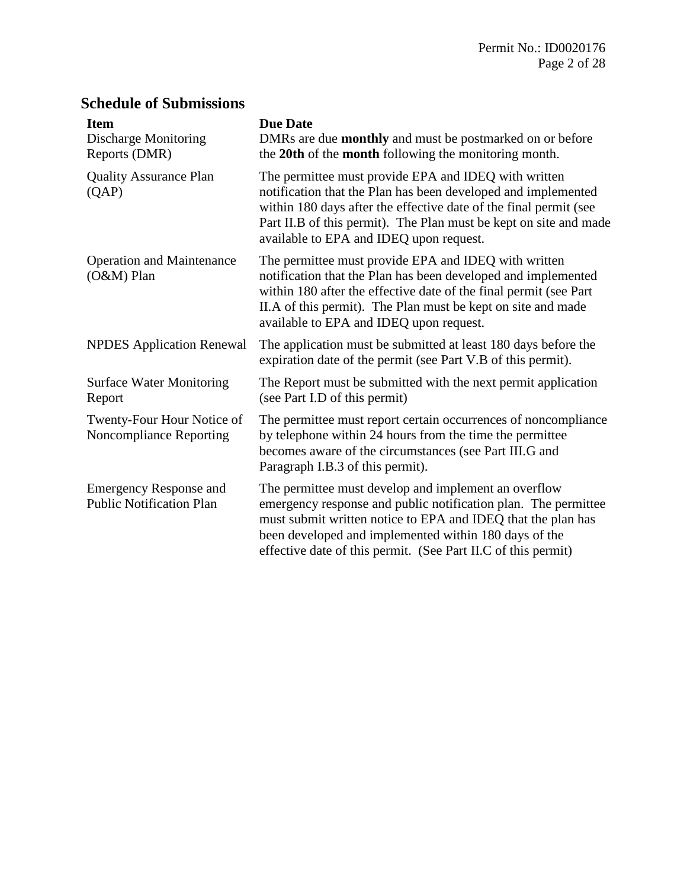# **Schedule of Submissions**

| <b>Item</b><br><b>Discharge Monitoring</b><br>Reports (DMR)                                                                                                                                                                                                                                                                                             | <b>Due Date</b><br>DMRs are due <b>monthly</b> and must be postmarked on or before<br>the 20th of the month following the monitoring month.                                                                                                                                                                      |  |
|---------------------------------------------------------------------------------------------------------------------------------------------------------------------------------------------------------------------------------------------------------------------------------------------------------------------------------------------------------|------------------------------------------------------------------------------------------------------------------------------------------------------------------------------------------------------------------------------------------------------------------------------------------------------------------|--|
| <b>Quality Assurance Plan</b><br>(QAP)                                                                                                                                                                                                                                                                                                                  | The permittee must provide EPA and IDEQ with written<br>notification that the Plan has been developed and implemented<br>within 180 days after the effective date of the final permit (see<br>Part II.B of this permit). The Plan must be kept on site and made<br>available to EPA and IDEQ upon request.       |  |
| The permittee must provide EPA and IDEQ with written<br><b>Operation and Maintenance</b><br>notification that the Plan has been developed and implemented<br>(O&M) Plan<br>within 180 after the effective date of the final permit (see Part<br>II.A of this permit). The Plan must be kept on site and made<br>available to EPA and IDEQ upon request. |                                                                                                                                                                                                                                                                                                                  |  |
| <b>NPDES</b> Application Renewal                                                                                                                                                                                                                                                                                                                        | The application must be submitted at least 180 days before the<br>expiration date of the permit (see Part V.B of this permit).                                                                                                                                                                                   |  |
| <b>Surface Water Monitoring</b><br>Report                                                                                                                                                                                                                                                                                                               | The Report must be submitted with the next permit application<br>(see Part I.D of this permit)                                                                                                                                                                                                                   |  |
| Twenty-Four Hour Notice of<br><b>Noncompliance Reporting</b>                                                                                                                                                                                                                                                                                            | The permittee must report certain occurrences of noncompliance<br>by telephone within 24 hours from the time the permittee<br>becomes aware of the circumstances (see Part III.G and<br>Paragraph I.B.3 of this permit).                                                                                         |  |
| <b>Emergency Response and</b><br><b>Public Notification Plan</b>                                                                                                                                                                                                                                                                                        | The permittee must develop and implement an overflow<br>emergency response and public notification plan. The permittee<br>must submit written notice to EPA and IDEQ that the plan has<br>been developed and implemented within 180 days of the<br>effective date of this permit. (See Part II.C of this permit) |  |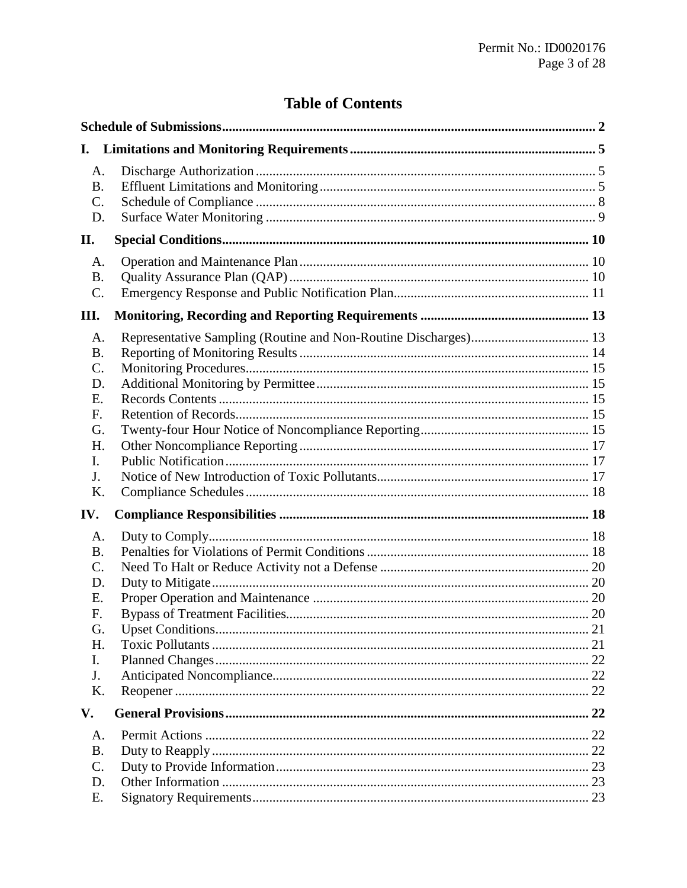# **Table of Contents**

| I.                                                                                |  |
|-----------------------------------------------------------------------------------|--|
| A.<br><b>B.</b><br>$\mathcal{C}$ .<br>D.                                          |  |
| П.                                                                                |  |
| A.<br><b>B.</b><br>C.                                                             |  |
| III.                                                                              |  |
| A.<br><b>B.</b><br>$\mathbf{C}$ .<br>D.<br>Ε.<br>F.<br>G.<br>Η.<br>I.<br>J.<br>Κ. |  |
| IV.                                                                               |  |
| A.<br><b>B.</b><br>C.<br>D.<br>Ε.<br>F.<br>G.<br>H.<br>$\mathbf{I}$ .<br>J.<br>K. |  |
| V.                                                                                |  |
| A.<br><b>B.</b><br>C.<br>D.<br>Е.                                                 |  |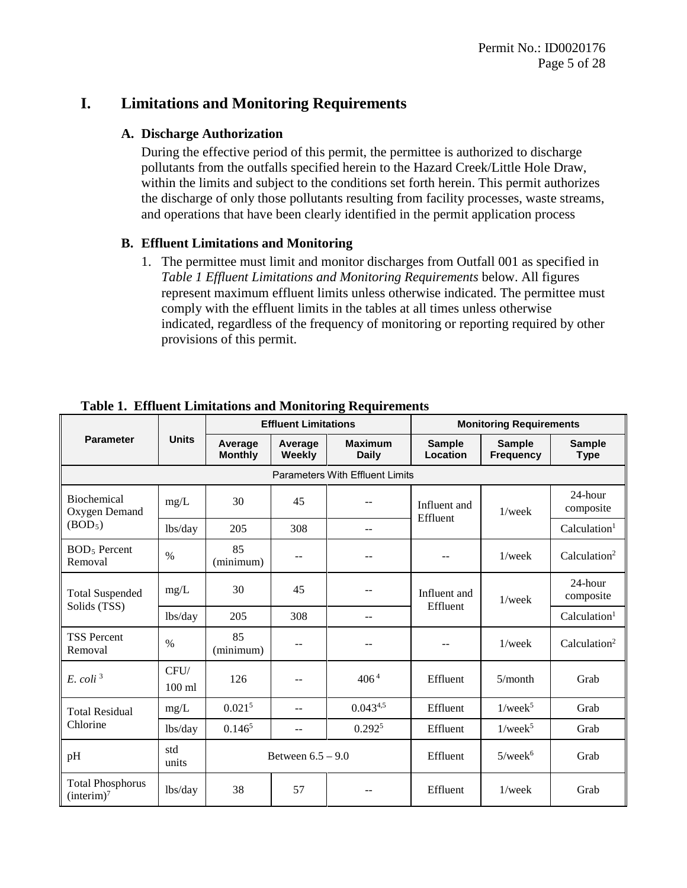### **I. Limitations and Monitoring Requirements**

#### **A. Discharge Authorization**

During the effective period of this permit, the permittee is authorized to discharge pollutants from the outfalls specified herein to the Hazard Creek/Little Hole Draw, within the limits and subject to the conditions set forth herein. This permit authorizes the discharge of only those pollutants resulting from facility processes, waste streams, and operations that have been clearly identified in the permit application process

### **B. Effluent Limitations and Monitoring**

1. The permittee must limit and monitor discharges from Outfall 001 as specified in *Table 1 Effluent Limitations and Monitoring Requirements* below. All figures represent maximum effluent limits unless otherwise indicated. The permittee must comply with the effluent limits in the tables at all times unless otherwise indicated, regardless of the frequency of monitoring or reporting required by other provisions of this permit.

|                                                   |                  | <b>Effluent Limitations</b> |                   |                                        | <b>Monitoring Requirements</b> |                                   |                              |
|---------------------------------------------------|------------------|-----------------------------|-------------------|----------------------------------------|--------------------------------|-----------------------------------|------------------------------|
| <b>Parameter</b>                                  | <b>Units</b>     | Average<br><b>Monthly</b>   | Average<br>Weekly | <b>Maximum</b><br><b>Daily</b>         | <b>Sample</b><br>Location      | <b>Sample</b><br><b>Frequency</b> | <b>Sample</b><br><b>Type</b> |
|                                                   |                  |                             |                   | <b>Parameters With Effluent Limits</b> |                                |                                   |                              |
| <b>Biochemical</b><br>Oxygen Demand               | mg/L             | 30                          | 45                | --                                     | Influent and<br>Effluent       | $1$ /week                         | 24-hour<br>composite         |
| (BOD <sub>5</sub> )                               | lbs/day          | 205                         | 308               | --                                     |                                |                                   | Calculation <sup>1</sup>     |
| <b>BOD</b> <sub>5</sub> Percent<br>Removal        | $\frac{0}{0}$    | 85<br>(minimum)             | $- -$             | --                                     | $- -$                          | $1$ /week                         | Calculation <sup>2</sup>     |
| <b>Total Suspended</b>                            | mg/L             | 30                          | 45                | --                                     | Influent and<br>Effluent       | $1$ /week                         | 24-hour<br>composite         |
| Solids (TSS)                                      | lbs/day          | 205                         | 308               | $-$                                    |                                |                                   | Calculation <sup>1</sup>     |
| <b>TSS Percent</b><br>Removal                     | $\%$             | 85<br>(minimum)             | --                |                                        |                                | $1$ /week                         | Calculation <sup>2</sup>     |
| $E.$ coli <sup>3</sup>                            | CFU/<br>$100$ ml | 126                         | --                | 406 <sup>4</sup>                       | Effluent                       | $5/m$ onth                        | Grab                         |
| <b>Total Residual</b><br>Chlorine                 | mg/L             | 0.021 <sup>5</sup>          | $-$               | $0.043^{4,5}$                          | Effluent                       | $1$ /wee $k^5$                    | Grab                         |
|                                                   | lbs/day          | 0.146 <sup>5</sup>          | $-$               | 0.292 <sup>5</sup>                     | Effluent                       | $1$ /wee $k^5$                    | Grab                         |
| pH                                                | std<br>units     | Between $6.5 - 9.0$         |                   | Effluent                               | $5$ /wee $k^6$                 | Grab                              |                              |
| <b>Total Phosphorus</b><br>(interim) <sup>7</sup> | lbs/day          | 38                          | 57                | $- -$                                  | Effluent                       | $1$ /week                         | Grab                         |

**Table 1. Effluent Limitations and Monitoring Requirements**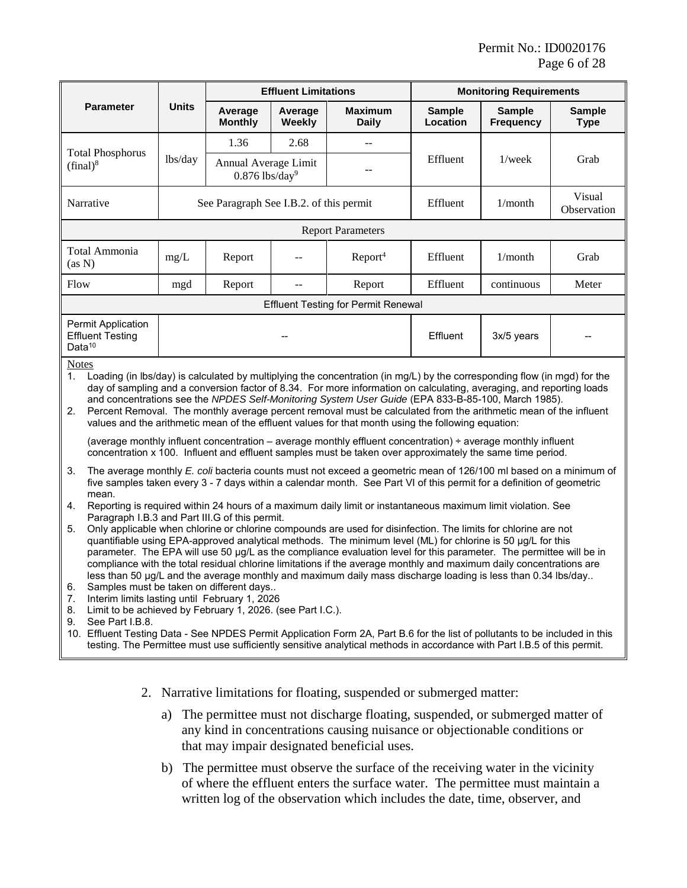<span id="page-5-0"></span>

|                                                                                                                                                                                                                                                                                                                                                                                                                                                                                                                                                                                                                                                                                                                                                                                                                                                                                                                                                                                                                                                                                        |                                                                                                                                                                                                                                                                                                                                                                        | <b>Effluent Limitations</b>                          |                   |                                            | <b>Monitoring Requirements</b> |                                   |                              |
|----------------------------------------------------------------------------------------------------------------------------------------------------------------------------------------------------------------------------------------------------------------------------------------------------------------------------------------------------------------------------------------------------------------------------------------------------------------------------------------------------------------------------------------------------------------------------------------------------------------------------------------------------------------------------------------------------------------------------------------------------------------------------------------------------------------------------------------------------------------------------------------------------------------------------------------------------------------------------------------------------------------------------------------------------------------------------------------|------------------------------------------------------------------------------------------------------------------------------------------------------------------------------------------------------------------------------------------------------------------------------------------------------------------------------------------------------------------------|------------------------------------------------------|-------------------|--------------------------------------------|--------------------------------|-----------------------------------|------------------------------|
| <b>Parameter</b>                                                                                                                                                                                                                                                                                                                                                                                                                                                                                                                                                                                                                                                                                                                                                                                                                                                                                                                                                                                                                                                                       | <b>Units</b>                                                                                                                                                                                                                                                                                                                                                           | Average<br><b>Monthly</b>                            | Average<br>Weekly | <b>Maximum</b><br><b>Daily</b>             | <b>Sample</b><br>Location      | <b>Sample</b><br><b>Frequency</b> | <b>Sample</b><br><b>Type</b> |
|                                                                                                                                                                                                                                                                                                                                                                                                                                                                                                                                                                                                                                                                                                                                                                                                                                                                                                                                                                                                                                                                                        |                                                                                                                                                                                                                                                                                                                                                                        | 1.36                                                 | 2.68              | $-$                                        |                                |                                   |                              |
| <b>Total Phosphorus</b><br>$(final)^8$                                                                                                                                                                                                                                                                                                                                                                                                                                                                                                                                                                                                                                                                                                                                                                                                                                                                                                                                                                                                                                                 | lbs/day                                                                                                                                                                                                                                                                                                                                                                | Annual Average Limit<br>$0.876$ lbs/day <sup>9</sup> |                   |                                            | Effluent                       | $1$ /week                         | Grab                         |
| Narrative                                                                                                                                                                                                                                                                                                                                                                                                                                                                                                                                                                                                                                                                                                                                                                                                                                                                                                                                                                                                                                                                              |                                                                                                                                                                                                                                                                                                                                                                        | See Paragraph See I.B.2. of this permit              |                   |                                            | Effluent                       | 1/month                           | Visual<br>Observation        |
|                                                                                                                                                                                                                                                                                                                                                                                                                                                                                                                                                                                                                                                                                                                                                                                                                                                                                                                                                                                                                                                                                        |                                                                                                                                                                                                                                                                                                                                                                        |                                                      |                   | <b>Report Parameters</b>                   |                                |                                   |                              |
| Total Ammonia<br>(as N)                                                                                                                                                                                                                                                                                                                                                                                                                                                                                                                                                                                                                                                                                                                                                                                                                                                                                                                                                                                                                                                                | $mg/L$                                                                                                                                                                                                                                                                                                                                                                 | Report                                               | --                | Report <sup>4</sup>                        | Effluent                       | 1/month                           | Grab                         |
| Flow                                                                                                                                                                                                                                                                                                                                                                                                                                                                                                                                                                                                                                                                                                                                                                                                                                                                                                                                                                                                                                                                                   | mgd                                                                                                                                                                                                                                                                                                                                                                    | Report                                               | --                | Report                                     | Effluent                       | continuous                        | Meter                        |
|                                                                                                                                                                                                                                                                                                                                                                                                                                                                                                                                                                                                                                                                                                                                                                                                                                                                                                                                                                                                                                                                                        |                                                                                                                                                                                                                                                                                                                                                                        |                                                      |                   | <b>Effluent Testing for Permit Renewal</b> |                                |                                   |                              |
| Permit Application<br><b>Effluent Testing</b><br>Data <sup>10</sup>                                                                                                                                                                                                                                                                                                                                                                                                                                                                                                                                                                                                                                                                                                                                                                                                                                                                                                                                                                                                                    |                                                                                                                                                                                                                                                                                                                                                                        |                                                      |                   |                                            | Effluent                       | 3x/5 years                        |                              |
| <b>Notes</b><br>1.<br>Loading (in lbs/day) is calculated by multiplying the concentration (in mg/L) by the corresponding flow (in mgd) for the<br>day of sampling and a conversion factor of 8.34. For more information on calculating, averaging, and reporting loads<br>and concentrations see the NPDES Self-Monitoring System User Guide (EPA 833-B-85-100, March 1985).<br>2.<br>Percent Removal. The monthly average percent removal must be calculated from the arithmetic mean of the influent<br>values and the arithmetic mean of the effluent values for that month using the following equation:<br>(average monthly influent concentration – average monthly effluent concentration) ÷ average monthly influent<br>concentration x 100. Influent and effluent samples must be taken over approximately the same time period.                                                                                                                                                                                                                                              |                                                                                                                                                                                                                                                                                                                                                                        |                                                      |                   |                                            |                                |                                   |                              |
| 3.<br>The average monthly E. coli bacteria counts must not exceed a geometric mean of 126/100 ml based on a minimum of<br>five samples taken every 3 - 7 days within a calendar month. See Part VI of this permit for a definition of geometric<br>mean.<br>Reporting is required within 24 hours of a maximum daily limit or instantaneous maximum limit violation. See<br>4.<br>Paragraph I.B.3 and Part III.G of this permit.<br>Only applicable when chlorine or chlorine compounds are used for disinfection. The limits for chlorine are not<br>5.<br>quantifiable using EPA-approved analytical methods. The minimum level (ML) for chlorine is 50 µg/L for this<br>parameter. The EPA will use 50 µg/L as the compliance evaluation level for this parameter. The permittee will be in<br>compliance with the total residual chlorine limitations if the average monthly and maximum daily concentrations are<br>less than 50 µg/L and the average monthly and maximum daily mass discharge loading is less than 0.34 lbs/day<br>Samples must be taken on different days<br>6. |                                                                                                                                                                                                                                                                                                                                                                        |                                                      |                   |                                            |                                |                                   |                              |
| 7.<br>8.<br>See Part I.B.8.<br>9.                                                                                                                                                                                                                                                                                                                                                                                                                                                                                                                                                                                                                                                                                                                                                                                                                                                                                                                                                                                                                                                      | Interim limits lasting until February 1, 2026<br>Limit to be achieved by February 1, 2026. (see Part I.C.).<br>10. Effluent Testing Data - See NPDES Permit Application Form 2A, Part B.6 for the list of pollutants to be included in this<br>testing. The Permittee must use sufficiently sensitive analytical methods in accordance with Part I.B.5 of this permit. |                                                      |                   |                                            |                                |                                   |                              |

- <span id="page-5-1"></span>2. Narrative limitations for floating, suspended or submerged matter:
	- a) The permittee must not discharge floating, suspended, or submerged matter of any kind in concentrations causing nuisance or objectionable conditions or that may impair designated beneficial uses.
	- b) The permittee must observe the surface of the receiving water in the vicinity of where the effluent enters the surface water. The permittee must maintain a written log of the observation which includes the date, time, observer, and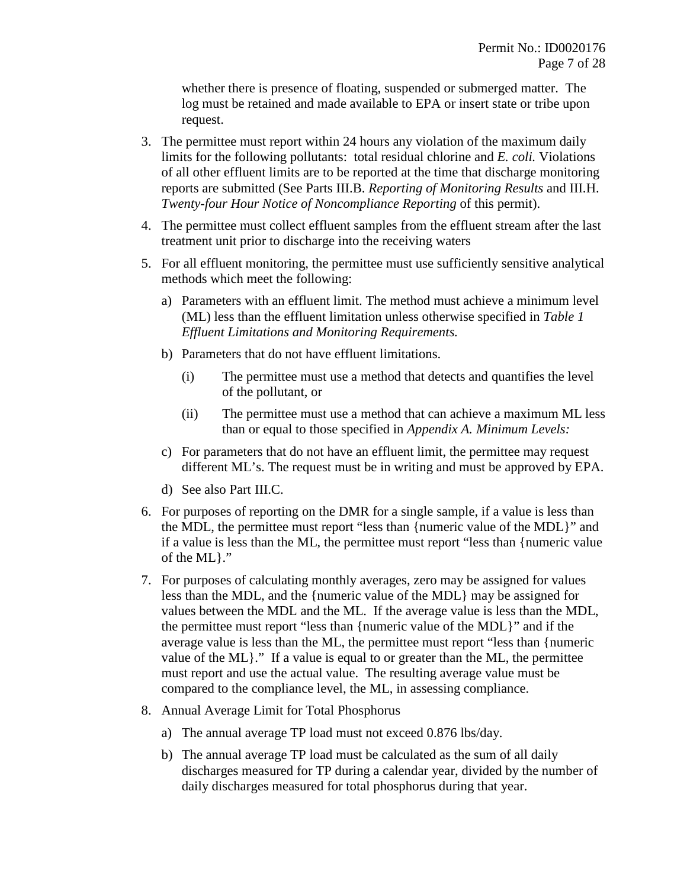whether there is presence of floating, suspended or submerged matter. The log must be retained and made available to EPA or insert state or tribe upon request.

- 3. The permittee must report within 24 hours any violation of the maximum daily limits for the following pollutants: total residual chlorine and *E. coli.* Violations of all other effluent limits are to be reported at the time that discharge monitoring reports are submitted (See Parts [III.B.](#page-13-0) *[Reporting of Monitoring Results](#page-13-0)* and [III.H.](#page-16-0) *[Twenty-four Hour Notice of Noncompliance Reporting](#page-14-0)* of this permit).
- 4. The permittee must collect effluent samples from the effluent stream after the last treatment unit prior to discharge into the receiving waters
- 5. For all effluent monitoring, the permittee must use sufficiently sensitive analytical methods which meet the following:
	- a) Parameters with an effluent limit. The method must achieve a minimum level (ML) less than the effluent limitation unless otherwise specified in *Table 1 Effluent Limitations and Monitoring Requirements.*
	- b) Parameters that do not have effluent limitations.
		- (i) The permittee must use a method that detects and quantifies the level of the pollutant, or
		- (ii) The permittee must use a method that can achieve a maximum ML less than or equal to those specified in *Appendix A. Minimum Levels:*
	- c) For parameters that do not have an effluent limit, the permittee may request different ML's. The request must be in writing and must be approved by EPA.
	- d) See also Part III.C.
- 6. For purposes of reporting on the DMR for a single sample, if a value is less than the MDL, the permittee must report "less than {numeric value of the MDL}" and if a value is less than the ML, the permittee must report "less than {numeric value of the ML}."
- 7. For purposes of calculating monthly averages, zero may be assigned for values less than the MDL, and the {numeric value of the MDL} may be assigned for values between the MDL and the ML. If the average value is less than the MDL, the permittee must report "less than {numeric value of the MDL}" and if the average value is less than the ML, the permittee must report "less than {numeric value of the ML}." If a value is equal to or greater than the ML, the permittee must report and use the actual value. The resulting average value must be compared to the compliance level, the ML, in assessing compliance.
- 8. Annual Average Limit for Total Phosphorus
	- a) The annual average TP load must not exceed 0.876 lbs/day.
	- b) The annual average TP load must be calculated as the sum of all daily discharges measured for TP during a calendar year, divided by the number of daily discharges measured for total phosphorus during that year.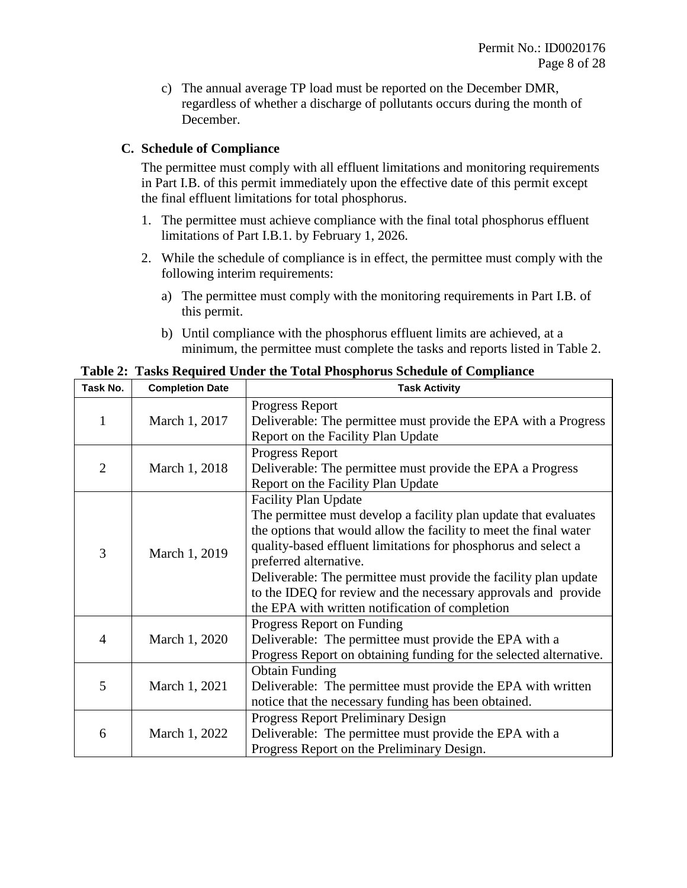c) The annual average TP load must be reported on the December DMR, regardless of whether a discharge of pollutants occurs during the month of December.

### **C. Schedule of Compliance**

The permittee must comply with all effluent limitations and monitoring requirements in Part I.B. of this permit immediately upon the effective date of this permit except the final effluent limitations for total phosphorus.

- 1. The permittee must achieve compliance with the final total phosphorus effluent limitations of Part I.B.1. by February 1, 2026.
- 2. While the schedule of compliance is in effect, the permittee must comply with the following interim requirements:
	- a) The permittee must comply with the monitoring requirements in Part I.B. of this permit.
	- b) Until compliance with the phosphorus effluent limits are achieved, at a minimum, the permittee must complete the tasks and reports listed in Table 2.

**Task No. Completion Date Task Activity** 1 March 1, 2017 Progress Report Deliverable: The permittee must provide the EPA with a Progress Report on the Facility Plan Update 2 March 1, 2018 Progress Report Deliverable: The permittee must provide the EPA a Progress Report on the Facility Plan Update 3 March 1, 2019 Facility Plan Update The permittee must develop a facility plan update that evaluates the options that would allow the facility to meet the final water quality-based effluent limitations for phosphorus and select a preferred alternative. Deliverable: The permittee must provide the facility plan update to the IDEQ for review and the necessary approvals and provide the EPA with written notification of completion 4 March 1, 2020 Progress Report on Funding Deliverable: The permittee must provide the EPA with a Progress Report on obtaining funding for the selected alternative. 5 March 1, 2021 Obtain Funding Deliverable: The permittee must provide the EPA with written notice that the necessary funding has been obtained. 6 March 1, 2022 Progress Report Preliminary Design Deliverable: The permittee must provide the EPA with a Progress Report on the Preliminary Design.

**Table 2: Tasks Required Under the Total Phosphorus Schedule of Compliance**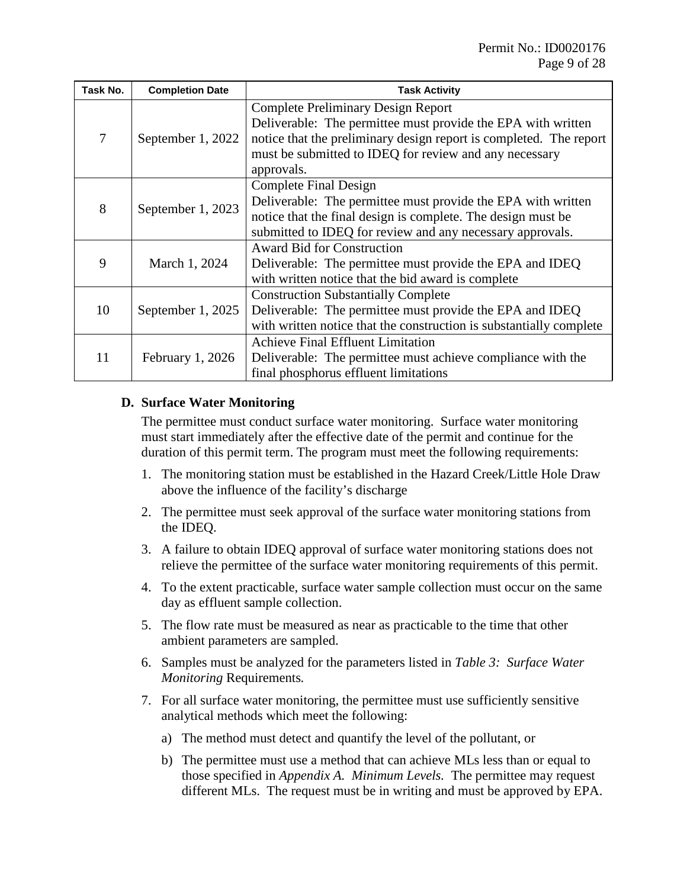| Task No. | <b>Completion Date</b>                                                                                                                                                                                                                                                       | <b>Task Activity</b>                                                                                                                                                          |  |
|----------|------------------------------------------------------------------------------------------------------------------------------------------------------------------------------------------------------------------------------------------------------------------------------|-------------------------------------------------------------------------------------------------------------------------------------------------------------------------------|--|
| 7        | <b>Complete Preliminary Design Report</b><br>Deliverable: The permittee must provide the EPA with written<br>notice that the preliminary design report is completed. The report<br>September 1, 2022<br>must be submitted to IDEQ for review and any necessary<br>approvals. |                                                                                                                                                                               |  |
| 8        | <b>Complete Final Design</b><br>Deliverable: The permittee must provide the EPA with written<br>September 1, 2023<br>notice that the final design is complete. The design must be<br>submitted to IDEQ for review and any necessary approvals.                               |                                                                                                                                                                               |  |
| 9        | <b>Award Bid for Construction</b><br>March 1, 2024<br>Deliverable: The permittee must provide the EPA and IDEQ<br>with written notice that the bid award is complete                                                                                                         |                                                                                                                                                                               |  |
| 10       | September 1, 2025                                                                                                                                                                                                                                                            | <b>Construction Substantially Complete</b><br>Deliverable: The permittee must provide the EPA and IDEQ<br>with written notice that the construction is substantially complete |  |
| 11       | <b>February 1, 2026</b>                                                                                                                                                                                                                                                      | <b>Achieve Final Effluent Limitation</b><br>Deliverable: The permittee must achieve compliance with the<br>final phosphorus effluent limitations                              |  |

### <span id="page-8-0"></span>**D. Surface Water Monitoring**

The permittee must conduct surface water monitoring. Surface water monitoring must start immediately after the effective date of the permit and continue for the duration of this permit term. The program must meet the following requirements:

- 1. The monitoring station must be established in the Hazard Creek/Little Hole Draw above the influence of the facility's discharge
- 2. The permittee must seek approval of the surface water monitoring stations from the IDEQ.
- 3. A failure to obtain IDEQ approval of surface water monitoring stations does not relieve the permittee of the surface water monitoring requirements of this permit.
- 4. To the extent practicable, surface water sample collection must occur on the same day as effluent sample collection.
- 5. The flow rate must be measured as near as practicable to the time that other ambient parameters are sampled.
- 6. Samples must be analyzed for the parameters listed in *[Table 3: Surface Water](#page-9-2)  Monitoring* [Requirements](#page-9-2)*.*
- 7. For all surface water monitoring, the permittee must use sufficiently sensitive analytical methods which meet the following:
	- a) The method must detect and quantify the level of the pollutant, or
	- b) The permittee must use a method that can achieve MLs less than or equal to those specified in *[Appendix A. Minimum Levels.](#page-27-0)* The permittee may request different MLs. The request must be in writing and must be approved by EPA.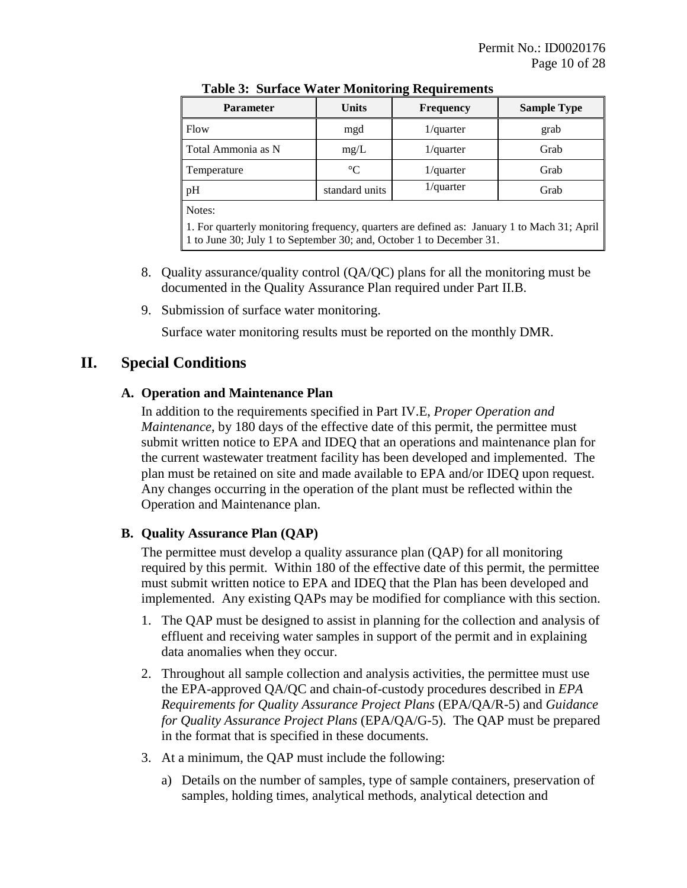<span id="page-9-2"></span>

| <b>Parameter</b>                                                                                                                                                    | <b>Units</b>    | <b>Frequency</b> | <b>Sample Type</b> |  |  |  |
|---------------------------------------------------------------------------------------------------------------------------------------------------------------------|-----------------|------------------|--------------------|--|--|--|
| Flow                                                                                                                                                                | mgd             | $1$ /quarter     | grab               |  |  |  |
| Total Ammonia as N                                                                                                                                                  | mg/L            | $1$ /quarter     | Grab               |  |  |  |
| Temperature                                                                                                                                                         | $\rm ^{\circ}C$ | $1$ /quarter     | Grab               |  |  |  |
| pH                                                                                                                                                                  | standard units  | $1$ /quarter     | Grab               |  |  |  |
| Notes:                                                                                                                                                              |                 |                  |                    |  |  |  |
| 1. For quarterly monitoring frequency, quarters are defined as: January 1 to Mach 31; April<br>1 to June 30; July 1 to September 30; and, October 1 to December 31. |                 |                  |                    |  |  |  |

**Table 3: Surface Water Monitoring Requirements**

- 8. Quality assurance/quality control (QA/QC) plans for all the monitoring must be documented in the Quality Assurance Plan required under Part [II.B.](#page-9-0)
- 9. Submission of surface water monitoring.

Surface water monitoring results must be reported on the monthly DMR.

### <span id="page-9-1"></span>**II. Special Conditions**

### **A. Operation and Maintenance Plan**

In addition to the requirements specified in Part [IV.E,](#page-19-0) *[Proper Operation and](#page-19-0)  [Maintenance](#page-19-0)*, by 180 days of the effective date of this permit, the permittee must submit written notice to EPA and IDEQ that an operations and maintenance plan for the current wastewater treatment facility has been developed and implemented. The plan must be retained on site and made available to EPA and/or IDEQ upon request. Any changes occurring in the operation of the plant must be reflected within the Operation and Maintenance plan.

### <span id="page-9-0"></span>**B. Quality Assurance Plan (QAP)**

The permittee must develop a quality assurance plan (QAP) for all monitoring required by this permit. Within 180 of the effective date of this permit, the permittee must submit written notice to EPA and IDEQ that the Plan has been developed and implemented. Any existing QAPs may be modified for compliance with this section.

- 1. The QAP must be designed to assist in planning for the collection and analysis of effluent and receiving water samples in support of the permit and in explaining data anomalies when they occur.
- 2. Throughout all sample collection and analysis activities, the permittee must use the EPA-approved QA/QC and chain-of-custody procedures described in *EPA Requirements for Quality Assurance Project Plans* (EPA/QA/R-5) and *Guidance for Quality Assurance Project Plans* (EPA/QA/G-5). The QAP must be prepared in the format that is specified in these documents.
- 3. At a minimum, the QAP must include the following:
	- a) Details on the number of samples, type of sample containers, preservation of samples, holding times, analytical methods, analytical detection and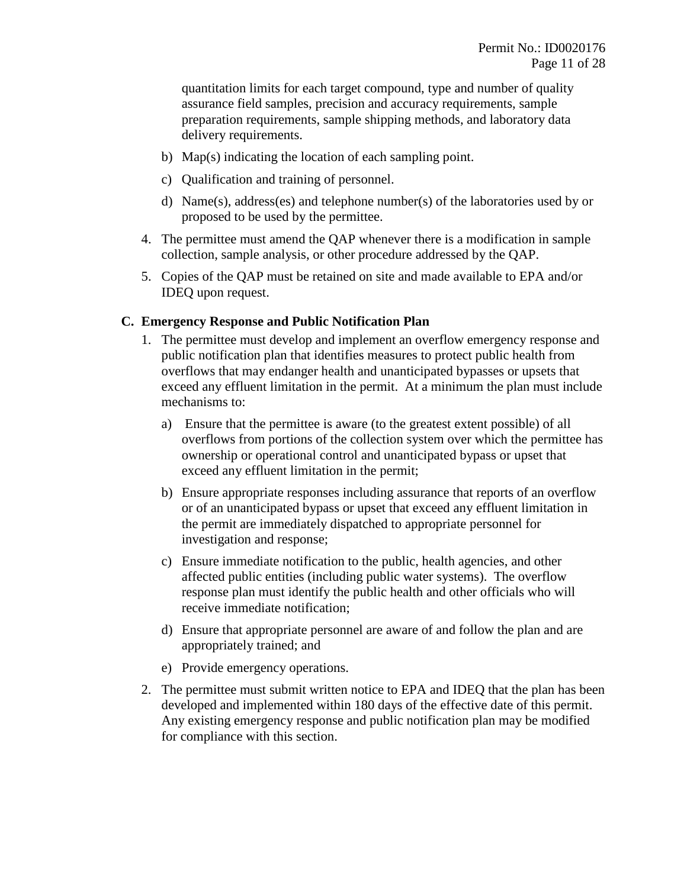quantitation limits for each target compound, type and number of quality assurance field samples, precision and accuracy requirements, sample preparation requirements, sample shipping methods, and laboratory data delivery requirements.

- b) Map(s) indicating the location of each sampling point.
- c) Qualification and training of personnel.
- d) Name(s), address(es) and telephone number(s) of the laboratories used by or proposed to be used by the permittee.
- 4. The permittee must amend the QAP whenever there is a modification in sample collection, sample analysis, or other procedure addressed by the QAP.
- 5. Copies of the QAP must be retained on site and made available to EPA and/or IDEQ upon request.

### <span id="page-10-0"></span>**C. Emergency Response and Public Notification Plan**

- 1. The permittee must develop and implement an overflow emergency response and public notification plan that identifies measures to protect public health from overflows that may endanger health and unanticipated bypasses or upsets that exceed any effluent limitation in the permit. At a minimum the plan must include mechanisms to:
	- a) Ensure that the permittee is aware (to the greatest extent possible) of all overflows from portions of the collection system over which the permittee has ownership or operational control and unanticipated bypass or upset that exceed any effluent limitation in the permit;
	- b) Ensure appropriate responses including assurance that reports of an overflow or of an unanticipated bypass or upset that exceed any effluent limitation in the permit are immediately dispatched to appropriate personnel for investigation and response;
	- c) Ensure immediate notification to the public, health agencies, and other affected public entities (including public water systems). The overflow response plan must identify the public health and other officials who will receive immediate notification;
	- d) Ensure that appropriate personnel are aware of and follow the plan and are appropriately trained; and
	- e) Provide emergency operations.
- 2. The permittee must submit written notice to EPA and IDEQ that the plan has been developed and implemented within 180 days of the effective date of this permit. Any existing emergency response and public notification plan may be modified for compliance with this section.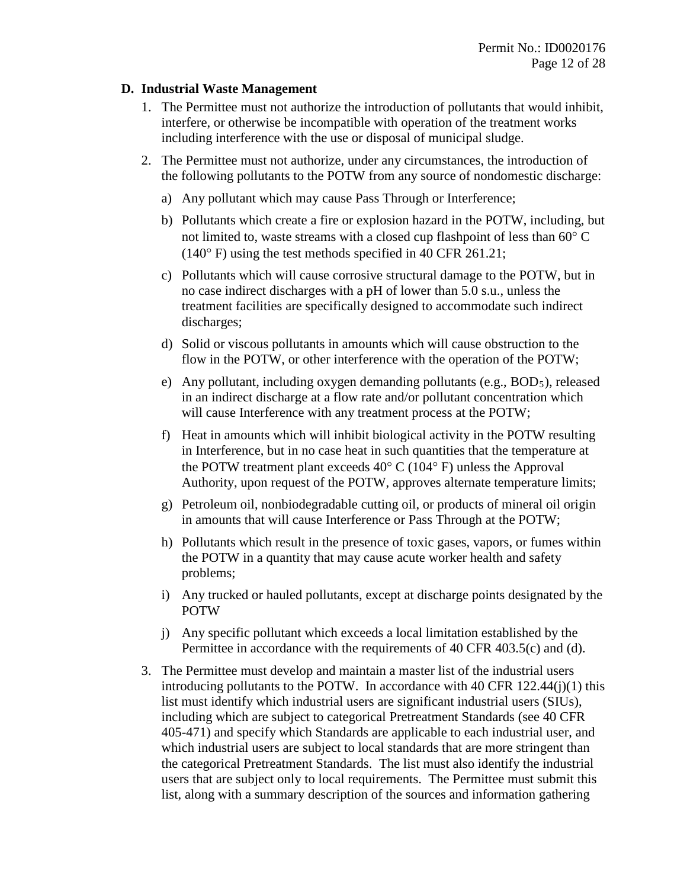#### **D. Industrial Waste Management**

- 1. The Permittee must not authorize the introduction of pollutants that would inhibit, interfere, or otherwise be incompatible with operation of the treatment works including interference with the use or disposal of municipal sludge.
- 2. The Permittee must not authorize, under any circumstances, the introduction of the following pollutants to the POTW from any source of nondomestic discharge:
	- a) Any pollutant which may cause Pass Through or Interference;
	- b) Pollutants which create a fire or explosion hazard in the POTW, including, but not limited to, waste streams with a closed cup flashpoint of less than 60° C (140° F) using the test methods specified in 40 CFR 261.21;
	- c) Pollutants which will cause corrosive structural damage to the POTW, but in no case indirect discharges with a pH of lower than 5.0 s.u., unless the treatment facilities are specifically designed to accommodate such indirect discharges;
	- d) Solid or viscous pollutants in amounts which will cause obstruction to the flow in the POTW, or other interference with the operation of the POTW;
	- e) Any pollutant, including oxygen demanding pollutants (e.g., BOD<sub>5</sub>), released in an indirect discharge at a flow rate and/or pollutant concentration which will cause Interference with any treatment process at the POTW;
	- f) Heat in amounts which will inhibit biological activity in the POTW resulting in Interference, but in no case heat in such quantities that the temperature at the POTW treatment plant exceeds 40° C (104° F) unless the Approval Authority, upon request of the POTW, approves alternate temperature limits;
	- g) Petroleum oil, nonbiodegradable cutting oil, or products of mineral oil origin in amounts that will cause Interference or Pass Through at the POTW;
	- h) Pollutants which result in the presence of toxic gases, vapors, or fumes within the POTW in a quantity that may cause acute worker health and safety problems;
	- i) Any trucked or hauled pollutants, except at discharge points designated by the POTW
	- j) Any specific pollutant which exceeds a local limitation established by the Permittee in accordance with the requirements of 40 CFR 403.5(c) and (d).
- 3. The Permittee must develop and maintain a master list of the industrial users introducing pollutants to the POTW. In accordance with  $40 \text{ CFR } 122.44(j)(1)$  this list must identify which industrial users are significant industrial users (SIUs), including which are subject to categorical Pretreatment Standards (see 40 CFR 405-471) and specify which Standards are applicable to each industrial user, and which industrial users are subject to local standards that are more stringent than the categorical Pretreatment Standards. The list must also identify the industrial users that are subject only to local requirements. The Permittee must submit this list, along with a summary description of the sources and information gathering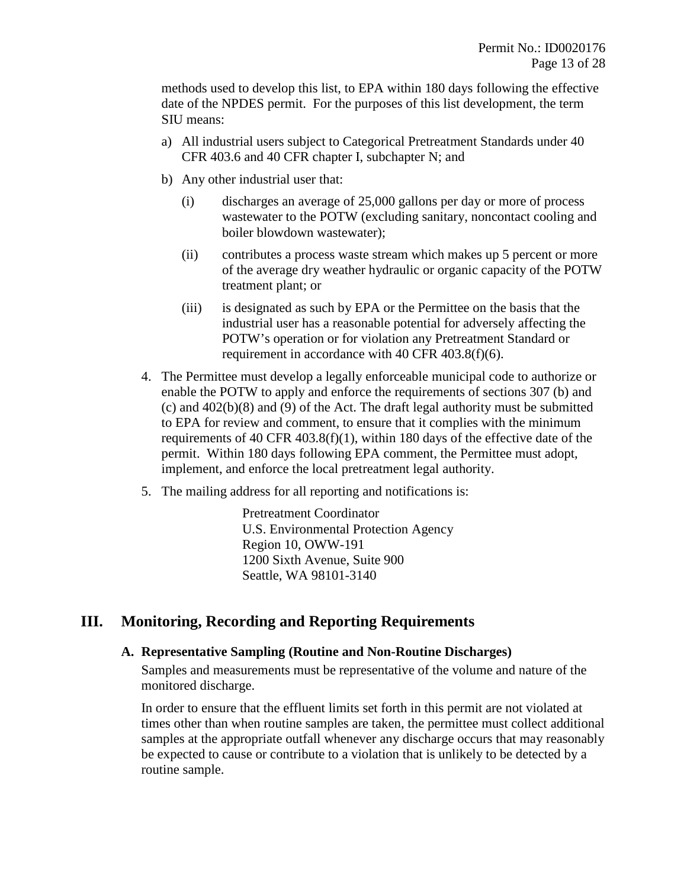methods used to develop this list, to EPA within 180 days following the effective date of the NPDES permit. For the purposes of this list development, the term SIU means:

- a) All industrial users subject to Categorical Pretreatment Standards under 40 CFR 403.6 and 40 CFR chapter I, subchapter N; and
- b) Any other industrial user that:
	- (i) discharges an average of 25,000 gallons per day or more of process wastewater to the POTW (excluding sanitary, noncontact cooling and boiler blowdown wastewater);
	- (ii) contributes a process waste stream which makes up 5 percent or more of the average dry weather hydraulic or organic capacity of the POTW treatment plant; or
	- (iii) is designated as such by EPA or the Permittee on the basis that the industrial user has a reasonable potential for adversely affecting the POTW's operation or for violation any Pretreatment Standard or requirement in accordance with 40 CFR 403.8(f)(6).
- 4. The Permittee must develop a legally enforceable municipal code to authorize or enable the POTW to apply and enforce the requirements of sections 307 (b) and (c) and 402(b)(8) and (9) of the Act. The draft legal authority must be submitted to EPA for review and comment, to ensure that it complies with the minimum requirements of 40 CFR 403.8(f)(1), within 180 days of the effective date of the permit. Within 180 days following EPA comment, the Permittee must adopt, implement, and enforce the local pretreatment legal authority.
- 5. The mailing address for all reporting and notifications is:

Pretreatment Coordinator U.S. Environmental Protection Agency Region 10, OWW-191 1200 Sixth Avenue, Suite 900 Seattle, WA 98101-3140

# **III. Monitoring, Recording and Reporting Requirements**

### **A. Representative Sampling (Routine and Non-Routine Discharges)**

Samples and measurements must be representative of the volume and nature of the monitored discharge.

In order to ensure that the effluent limits set forth in this permit are not violated at times other than when routine samples are taken, the permittee must collect additional samples at the appropriate outfall whenever any discharge occurs that may reasonably be expected to cause or contribute to a violation that is unlikely to be detected by a routine sample.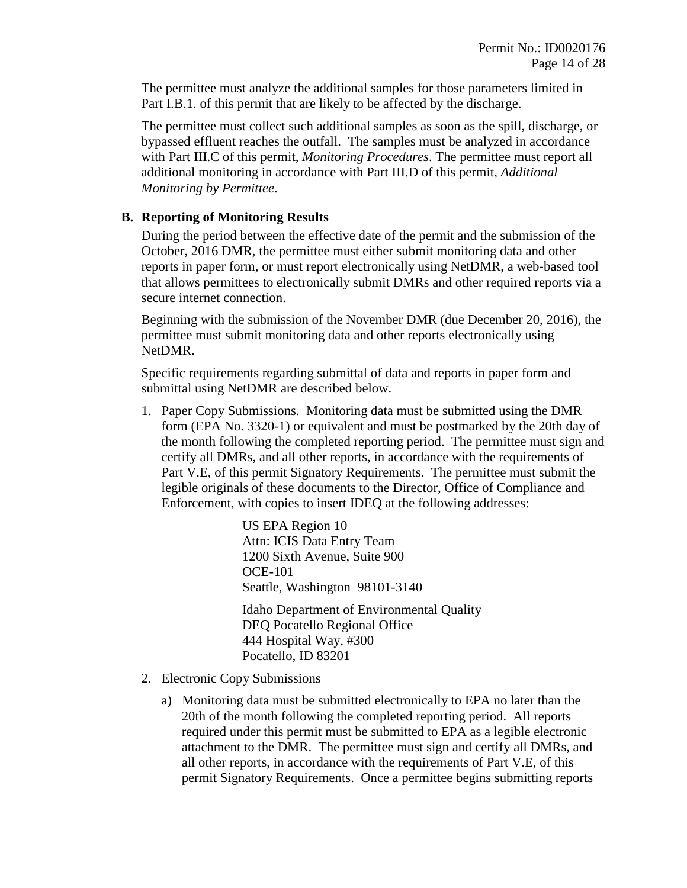The permittee must analyze the additional samples for those parameters limited in Part I.B.1. of this permit that are likely to be affected by the discharge.

The permittee must collect such additional samples as soon as the spill, discharge, or bypassed effluent reaches the outfall. The samples must be analyzed in accordance with Part [III.C](#page-14-1) of this permit, *[Monitoring Procedures](#page-14-1)*. The permittee must report all additional monitoring in accordance with Part [III.D](#page-14-2) of this permit, *[Additional](#page-14-2)  [Monitoring by Permittee](#page-14-2)*.

### <span id="page-13-0"></span>**B. Reporting of Monitoring Results**

During the period between the effective date of the permit and the submission of the October, 2016 DMR, the permittee must either submit monitoring data and other reports in paper form, or must report electronically using NetDMR, a web-based tool that allows permittees to electronically submit DMRs and other required reports via a secure internet connection.

Beginning with the submission of the November DMR (due December 20, 2016), the permittee must submit monitoring data and other reports electronically using NetDMR.

Specific requirements regarding submittal of data and reports in paper form and submittal using NetDMR are described below.

1. Paper Copy Submissions. Monitoring data must be submitted using the DMR form (EPA No. 3320-1) or equivalent and must be postmarked by the 20th day of the month following the completed reporting period. The permittee must sign and certify all DMRs, and all other reports, in accordance with the requirements of Part V.E, of this permit Signatory Requirements. The permittee must submit the legible originals of these documents to the Director, Office of Compliance and Enforcement, with copies to insert IDEQ at the following addresses:

> US EPA Region 10 Attn: ICIS Data Entry Team 1200 Sixth Avenue, Suite 900 OCE-101 Seattle, Washington 98101-3140 Idaho Department of Environmental Quality DEQ Pocatello Regional Office 444 Hospital Way, #300 Pocatello, ID 83201

- 2. Electronic Copy Submissions
	- a) Monitoring data must be submitted electronically to EPA no later than the 20th of the month following the completed reporting period. All reports required under this permit must be submitted to EPA as a legible electronic attachment to the DMR. The permittee must sign and certify all DMRs, and all other reports, in accordance with the requirements of Part V.E, of this permit Signatory Requirements. Once a permittee begins submitting reports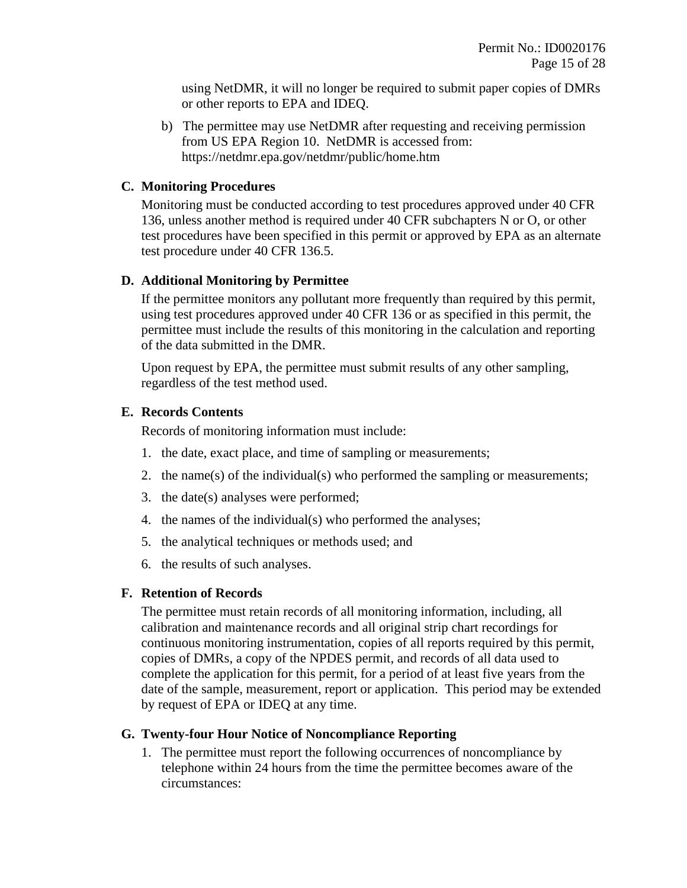using NetDMR, it will no longer be required to submit paper copies of DMRs or other reports to EPA and IDEQ.

b) The permittee may use NetDMR after requesting and receiving permission from US EPA Region 10. NetDMR is accessed from: https://netdmr.epa.gov/netdmr/public/home.htm

### <span id="page-14-1"></span>**C. Monitoring Procedures**

Monitoring must be conducted according to test procedures approved under 40 CFR 136, unless another method is required under 40 CFR subchapters N or O, or other test procedures have been specified in this permit or approved by EPA as an alternate test procedure under 40 CFR 136.5.

### <span id="page-14-2"></span>**D. Additional Monitoring by Permittee**

If the permittee monitors any pollutant more frequently than required by this permit, using test procedures approved under 40 CFR 136 or as specified in this permit, the permittee must include the results of this monitoring in the calculation and reporting of the data submitted in the DMR.

Upon request by EPA, the permittee must submit results of any other sampling, regardless of the test method used.

### **E. Records Contents**

Records of monitoring information must include:

- 1. the date, exact place, and time of sampling or measurements;
- 2. the name(s) of the individual(s) who performed the sampling or measurements;
- 3. the date(s) analyses were performed;
- 4. the names of the individual(s) who performed the analyses;
- 5. the analytical techniques or methods used; and
- 6. the results of such analyses.

### **F. Retention of Records**

The permittee must retain records of all monitoring information, including, all calibration and maintenance records and all original strip chart recordings for continuous monitoring instrumentation, copies of all reports required by this permit, copies of DMRs, a copy of the NPDES permit, and records of all data used to complete the application for this permit, for a period of at least five years from the date of the sample, measurement, report or application. This period may be extended by request of EPA or IDEQ at any time.

### <span id="page-14-0"></span>**G. Twenty-four Hour Notice of Noncompliance Reporting**

<span id="page-14-3"></span>1. The permittee must report the following occurrences of noncompliance by telephone within 24 hours from the time the permittee becomes aware of the circumstances: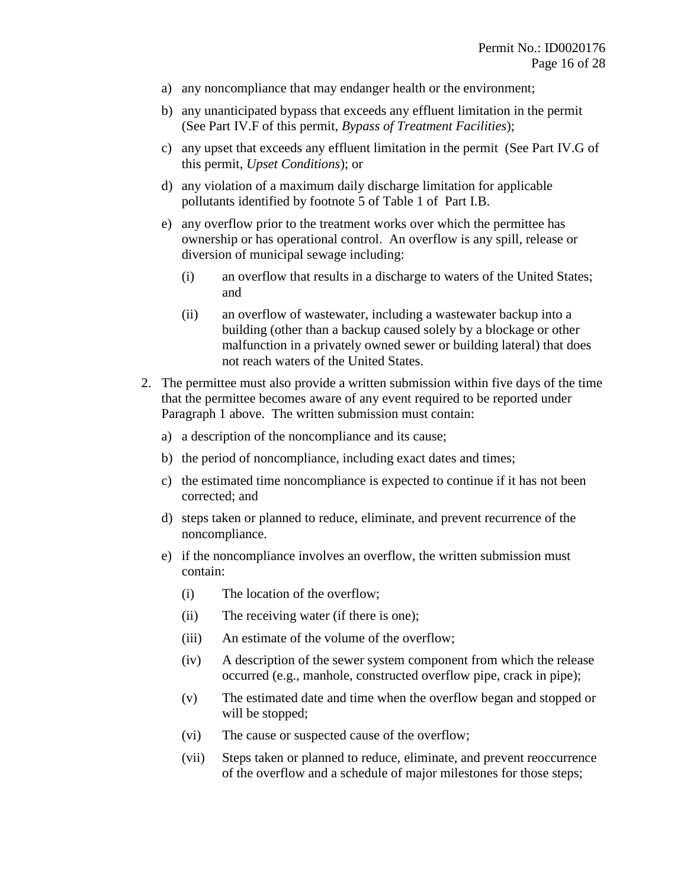- a) any noncompliance that may endanger health or the environment;
- b) any unanticipated bypass that exceeds any effluent limitation in the permit (See Part [IV.F](#page-19-1) of this permit, *[Bypass of Treatment Facilities](#page-19-1)*);
- c) any upset that exceeds any effluent limitation in the permit (See Part [IV.G](#page-20-0) of this permit, *[Upset Conditions](#page-20-0)*); or
- d) any violation of a maximum daily discharge limitation for applicable pollutants identified by footnote 5 of Table 1 of Part I.B.
- e) any overflow prior to the treatment works over which the permittee has ownership or has operational control. An overflow is any spill, release or diversion of municipal sewage including:
	- (i) an overflow that results in a discharge to waters of the United States; and
	- (ii) an overflow of wastewater, including a wastewater backup into a building (other than a backup caused solely by a blockage or other malfunction in a privately owned sewer or building lateral) that does not reach waters of the United States.
- <span id="page-15-0"></span>2. The permittee must also provide a written submission within five days of the time that the permittee becomes aware of any event required to be reported under Paragraph [1](#page-14-3) above. The written submission must contain:
	- a) a description of the noncompliance and its cause;
	- b) the period of noncompliance, including exact dates and times;
	- c) the estimated time noncompliance is expected to continue if it has not been corrected; and
	- d) steps taken or planned to reduce, eliminate, and prevent recurrence of the noncompliance.
	- e) if the noncompliance involves an overflow, the written submission must contain:
		- (i) The location of the overflow;
		- (ii) The receiving water (if there is one);
		- (iii) An estimate of the volume of the overflow;
		- (iv) A description of the sewer system component from which the release occurred (e.g., manhole, constructed overflow pipe, crack in pipe);
		- (v) The estimated date and time when the overflow began and stopped or will be stopped;
		- (vi) The cause or suspected cause of the overflow;
		- (vii) Steps taken or planned to reduce, eliminate, and prevent reoccurrence of the overflow and a schedule of major milestones for those steps;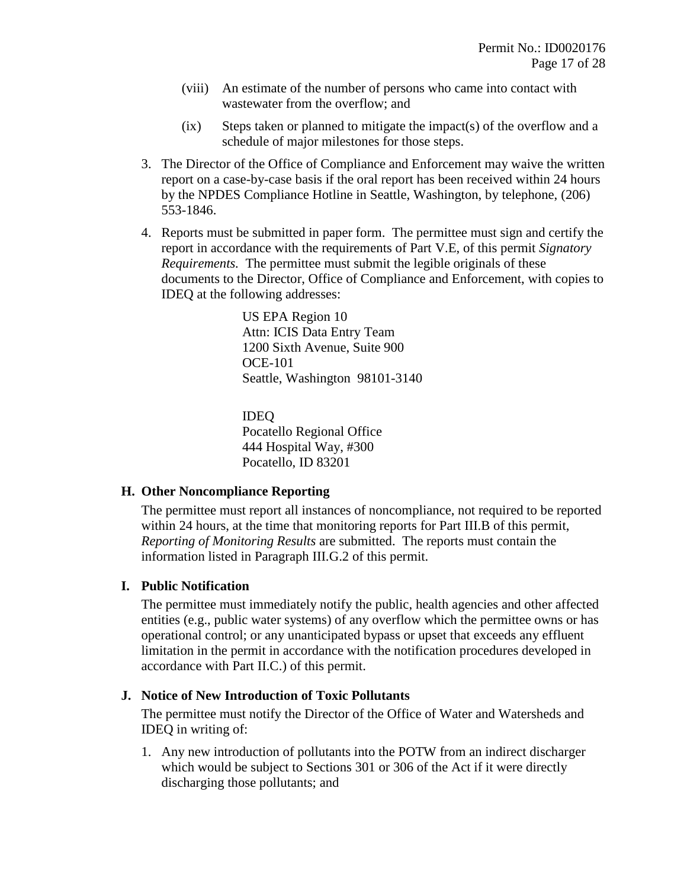- (viii) An estimate of the number of persons who came into contact with wastewater from the overflow; and
- $(ix)$  Steps taken or planned to mitigate the impact(s) of the overflow and a schedule of major milestones for those steps.
- 3. The Director of the Office of Compliance and Enforcement may waive the written report on a case-by-case basis if the oral report has been received within 24 hours by the NPDES Compliance Hotline in Seattle, Washington, by telephone, (206) 553-1846.
- 4. Reports must be submitted in paper form. The permittee must sign and certify the report in accordance with the requirements of Part [V.E,](#page-22-0) of this permit *[Signatory](#page-22-0)  [Requirements.](#page-22-0)* The permittee must submit the legible originals of these documents to the Director, Office of Compliance and Enforcement, with copies to IDEQ at the following addresses:

US EPA Region 10 Attn: ICIS Data Entry Team 1200 Sixth Avenue, Suite 900 OCE-101 Seattle, Washington 98101-3140

IDEQ Pocatello Regional Office 444 Hospital Way, #300 Pocatello, ID 83201

#### <span id="page-16-0"></span>**H. Other Noncompliance Reporting**

The permittee must report all instances of noncompliance, not required to be reported within 24 hours, at the time that monitoring reports for Part [III.B](#page-13-0) of this permit, *[Reporting of Monitoring Results](#page-13-0)* are submitted. The reports must contain the information listed in Paragraph [III.G.](#page-14-0)[2](#page-15-0) of this permit.

### **I. Public Notification**

The permittee must immediately notify the public, health agencies and other affected entities (e.g., public water systems) of any overflow which the permittee owns or has operational control; or any unanticipated bypass or upset that exceeds any effluent limitation in the permit in accordance with the notification procedures developed in accordance with Part [II.C.](#page-10-0)) of this permit.

### <span id="page-16-1"></span>**J. Notice of New Introduction of Toxic Pollutants**

The permittee must notify the Director of the Office of Water and Watersheds and IDEQ in writing of:

1. Any new introduction of pollutants into the POTW from an indirect discharger which would be subject to Sections 301 or 306 of the Act if it were directly discharging those pollutants; and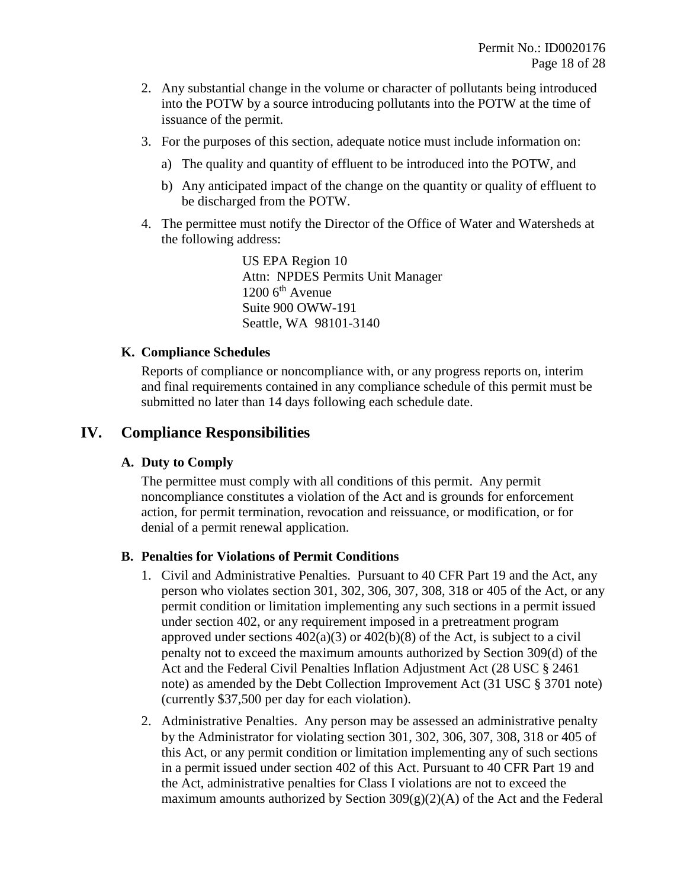- 2. Any substantial change in the volume or character of pollutants being introduced into the POTW by a source introducing pollutants into the POTW at the time of issuance of the permit.
- 3. For the purposes of this section, adequate notice must include information on:
	- a) The quality and quantity of effluent to be introduced into the POTW, and
	- b) Any anticipated impact of the change on the quantity or quality of effluent to be discharged from the POTW.
- <span id="page-17-0"></span>4. The permittee must notify the Director of the Office of Water and Watersheds at the following address:

US EPA Region 10 Attn: NPDES Permits Unit Manager  $1200$  6<sup>th</sup> Avenue Suite 900 OWW-191 Seattle, WA 98101-3140

### **K. Compliance Schedules**

Reports of compliance or noncompliance with, or any progress reports on, interim and final requirements contained in any compliance schedule of this permit must be submitted no later than 14 days following each schedule date.

# **IV. Compliance Responsibilities**

### **A. Duty to Comply**

The permittee must comply with all conditions of this permit. Any permit noncompliance constitutes a violation of the Act and is grounds for enforcement action, for permit termination, revocation and reissuance, or modification, or for denial of a permit renewal application.

### **B. Penalties for Violations of Permit Conditions**

- 1. Civil and Administrative Penalties. Pursuant to 40 CFR Part 19 and the Act, any person who violates section 301, 302, 306, 307, 308, 318 or 405 of the Act, or any permit condition or limitation implementing any such sections in a permit issued under section 402, or any requirement imposed in a pretreatment program approved under sections  $402(a)(3)$  or  $402(b)(8)$  of the Act, is subject to a civil penalty not to exceed the maximum amounts authorized by Section 309(d) of the Act and the Federal Civil Penalties Inflation Adjustment Act (28 USC § 2461 note) as amended by the Debt Collection Improvement Act (31 USC § 3701 note) (currently \$37,500 per day for each violation).
- 2. Administrative Penalties. Any person may be assessed an administrative penalty by the Administrator for violating section 301, 302, 306, 307, 308, 318 or 405 of this Act, or any permit condition or limitation implementing any of such sections in a permit issued under section 402 of this Act. Pursuant to 40 CFR Part 19 and the Act, administrative penalties for Class I violations are not to exceed the maximum amounts authorized by Section  $309(g)(2)(A)$  of the Act and the Federal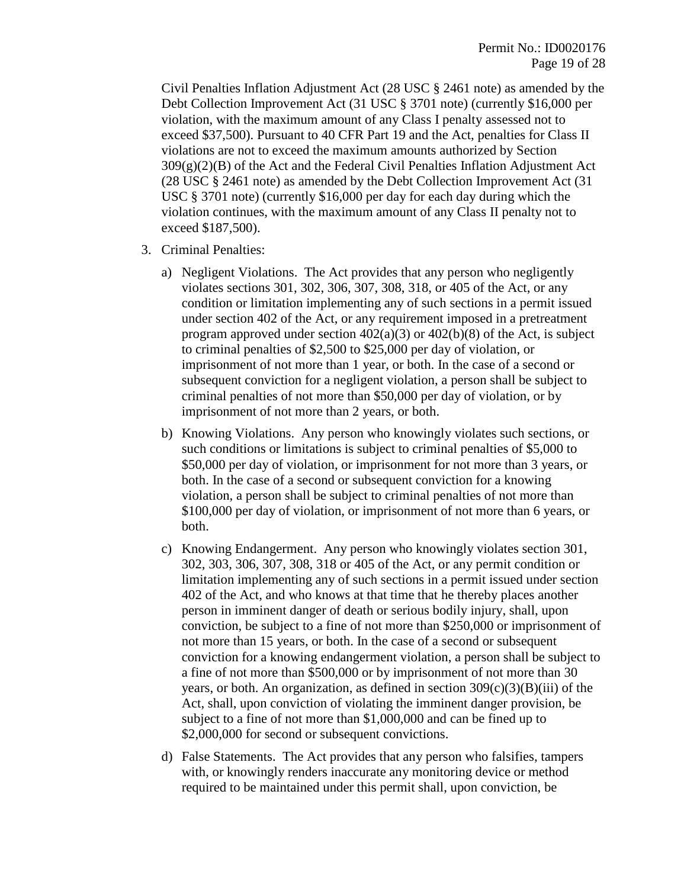Civil Penalties Inflation Adjustment Act (28 USC § 2461 note) as amended by the Debt Collection Improvement Act (31 USC § 3701 note) (currently \$16,000 per violation, with the maximum amount of any Class I penalty assessed not to exceed \$37,500). Pursuant to 40 CFR Part 19 and the Act, penalties for Class II violations are not to exceed the maximum amounts authorized by Section  $309(g)(2)(B)$  of the Act and the Federal Civil Penalties Inflation Adjustment Act (28 USC § 2461 note) as amended by the Debt Collection Improvement Act (31 USC § 3701 note) (currently \$16,000 per day for each day during which the violation continues, with the maximum amount of any Class II penalty not to exceed \$187,500).

- 3. Criminal Penalties:
	- a) Negligent Violations. The Act provides that any person who negligently violates sections 301, 302, 306, 307, 308, 318, or 405 of the Act, or any condition or limitation implementing any of such sections in a permit issued under section 402 of the Act, or any requirement imposed in a pretreatment program approved under section  $402(a)(3)$  or  $402(b)(8)$  of the Act, is subject to criminal penalties of \$2,500 to \$25,000 per day of violation, or imprisonment of not more than 1 year, or both. In the case of a second or subsequent conviction for a negligent violation, a person shall be subject to criminal penalties of not more than \$50,000 per day of violation, or by imprisonment of not more than 2 years, or both.
	- b) Knowing Violations. Any person who knowingly violates such sections, or such conditions or limitations is subject to criminal penalties of \$5,000 to \$50,000 per day of violation, or imprisonment for not more than 3 years, or both. In the case of a second or subsequent conviction for a knowing violation, a person shall be subject to criminal penalties of not more than \$100,000 per day of violation, or imprisonment of not more than 6 years, or both.
	- c) Knowing Endangerment. Any person who knowingly violates section 301, 302, 303, 306, 307, 308, 318 or 405 of the Act, or any permit condition or limitation implementing any of such sections in a permit issued under section 402 of the Act, and who knows at that time that he thereby places another person in imminent danger of death or serious bodily injury, shall, upon conviction, be subject to a fine of not more than \$250,000 or imprisonment of not more than 15 years, or both. In the case of a second or subsequent conviction for a knowing endangerment violation, a person shall be subject to a fine of not more than \$500,000 or by imprisonment of not more than 30 years, or both. An organization, as defined in section  $309(c)(3)(B)(iii)$  of the Act, shall, upon conviction of violating the imminent danger provision, be subject to a fine of not more than \$1,000,000 and can be fined up to \$2,000,000 for second or subsequent convictions.
	- d) False Statements. The Act provides that any person who falsifies, tampers with, or knowingly renders inaccurate any monitoring device or method required to be maintained under this permit shall, upon conviction, be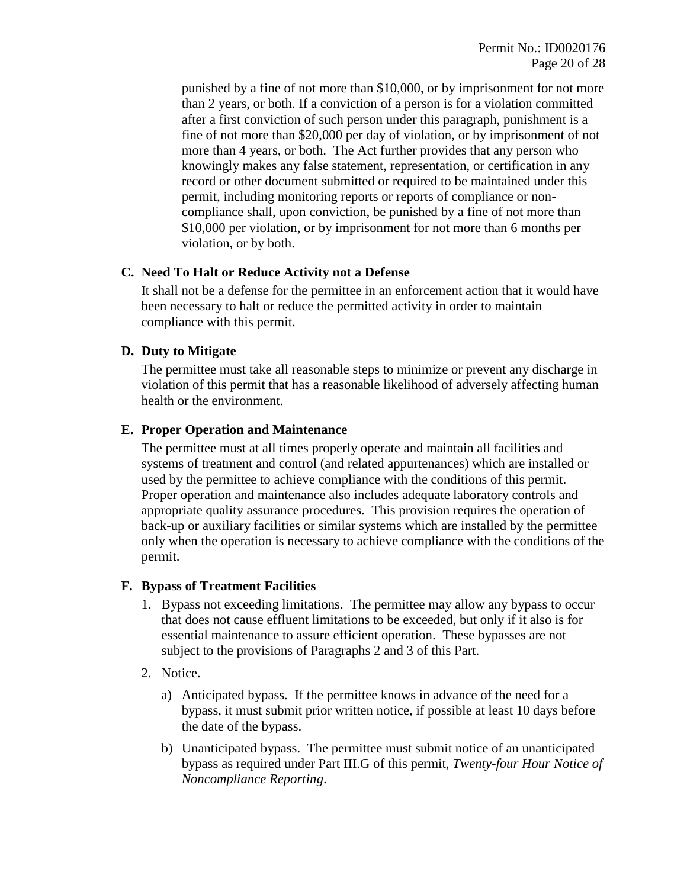punished by a fine of not more than \$10,000, or by imprisonment for not more than 2 years, or both. If a conviction of a person is for a violation committed after a first conviction of such person under this paragraph, punishment is a fine of not more than \$20,000 per day of violation, or by imprisonment of not more than 4 years, or both. The Act further provides that any person who knowingly makes any false statement, representation, or certification in any record or other document submitted or required to be maintained under this permit, including monitoring reports or reports of compliance or noncompliance shall, upon conviction, be punished by a fine of not more than \$10,000 per violation, or by imprisonment for not more than 6 months per violation, or by both.

### **C. Need To Halt or Reduce Activity not a Defense**

It shall not be a defense for the permittee in an enforcement action that it would have been necessary to halt or reduce the permitted activity in order to maintain compliance with this permit.

### <span id="page-19-2"></span>**D. Duty to Mitigate**

The permittee must take all reasonable steps to minimize or prevent any discharge in violation of this permit that has a reasonable likelihood of adversely affecting human health or the environment.

### <span id="page-19-0"></span>**E. Proper Operation and Maintenance**

The permittee must at all times properly operate and maintain all facilities and systems of treatment and control (and related appurtenances) which are installed or used by the permittee to achieve compliance with the conditions of this permit. Proper operation and maintenance also includes adequate laboratory controls and appropriate quality assurance procedures. This provision requires the operation of back-up or auxiliary facilities or similar systems which are installed by the permittee only when the operation is necessary to achieve compliance with the conditions of the permit.

#### <span id="page-19-1"></span>**F. Bypass of Treatment Facilities**

- 1. Bypass not exceeding limitations. The permittee may allow any bypass to occur that does not cause effluent limitations to be exceeded, but only if it also is for essential maintenance to assure efficient operation. These bypasses are not subject to the provisions of Paragraphs 2 and 3 of this Part.
- 2. Notice.
	- a) Anticipated bypass. If the permittee knows in advance of the need for a bypass, it must submit prior written notice, if possible at least 10 days before the date of the bypass.
	- b) Unanticipated bypass. The permittee must submit notice of an unanticipated bypass as required under Part [III.G](#page-14-0) of this permit, *[Twenty-four Hour Notice of](#page-14-0)  [Noncompliance Reporting](#page-14-0)*.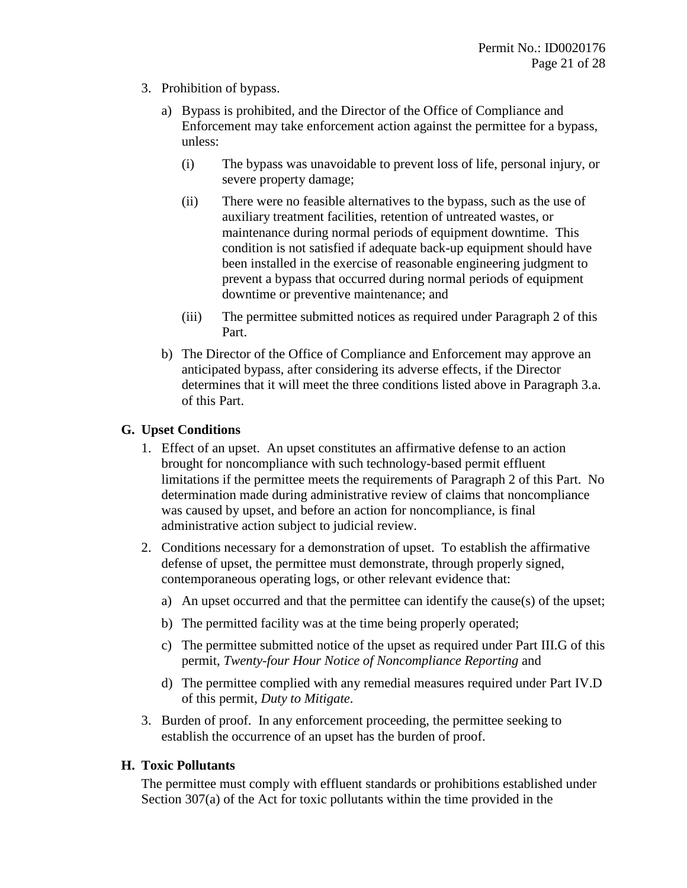- 3. Prohibition of bypass.
	- a) Bypass is prohibited, and the Director of the Office of Compliance and Enforcement may take enforcement action against the permittee for a bypass, unless:
		- (i) The bypass was unavoidable to prevent loss of life, personal injury, or severe property damage;
		- (ii) There were no feasible alternatives to the bypass, such as the use of auxiliary treatment facilities, retention of untreated wastes, or maintenance during normal periods of equipment downtime. This condition is not satisfied if adequate back-up equipment should have been installed in the exercise of reasonable engineering judgment to prevent a bypass that occurred during normal periods of equipment downtime or preventive maintenance; and
		- (iii) The permittee submitted notices as required under Paragraph 2 of this Part.
	- b) The Director of the Office of Compliance and Enforcement may approve an anticipated bypass, after considering its adverse effects, if the Director determines that it will meet the three conditions listed above in Paragraph 3.a. of this Part.

### <span id="page-20-0"></span>**G. Upset Conditions**

- 1. Effect of an upset. An upset constitutes an affirmative defense to an action brought for noncompliance with such technology-based permit effluent limitations if the permittee meets the requirements of Paragraph 2 of this Part. No determination made during administrative review of claims that noncompliance was caused by upset, and before an action for noncompliance, is final administrative action subject to judicial review.
- 2. Conditions necessary for a demonstration of upset. To establish the affirmative defense of upset, the permittee must demonstrate, through properly signed, contemporaneous operating logs, or other relevant evidence that:
	- a) An upset occurred and that the permittee can identify the cause(s) of the upset;
	- b) The permitted facility was at the time being properly operated;
	- c) The permittee submitted notice of the upset as required under Part [III.G](#page-14-0) of this permit, *[Twenty-four Hour Notice of Noncompliance Reporting](#page-14-0)* and
	- d) The permittee complied with any remedial measures required under Part [IV.D](#page-19-2) of this permit, *[Duty to Mitigate](#page-19-2)*.
- 3. Burden of proof. In any enforcement proceeding, the permittee seeking to establish the occurrence of an upset has the burden of proof.

#### **H. Toxic Pollutants**

The permittee must comply with effluent standards or prohibitions established under Section 307(a) of the Act for toxic pollutants within the time provided in the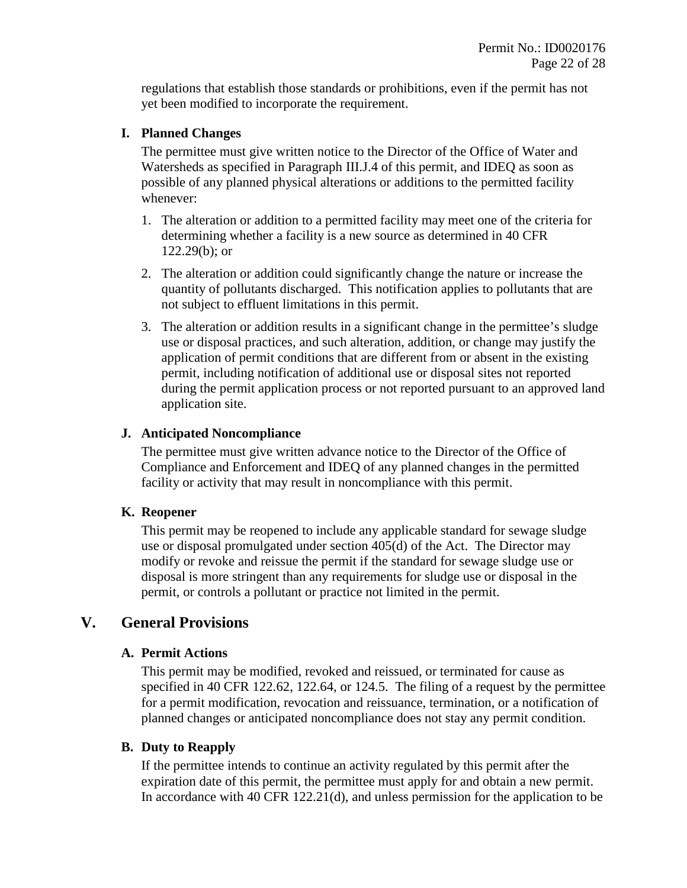regulations that establish those standards or prohibitions, even if the permit has not yet been modified to incorporate the requirement.

### **I. Planned Changes**

The permittee must give written notice to the Director of the Office of Water and Watersheds as specified in Paragraph [III.J.](#page-16-1)[4](#page-17-0) of this permit, and IDEQ as soon as possible of any planned physical alterations or additions to the permitted facility whenever:

- 1. The alteration or addition to a permitted facility may meet one of the criteria for determining whether a facility is a new source as determined in 40 CFR 122.29(b); or
- 2. The alteration or addition could significantly change the nature or increase the quantity of pollutants discharged. This notification applies to pollutants that are not subject to effluent limitations in this permit.
- 3. The alteration or addition results in a significant change in the permittee's sludge use or disposal practices, and such alteration, addition, or change may justify the application of permit conditions that are different from or absent in the existing permit, including notification of additional use or disposal sites not reported during the permit application process or not reported pursuant to an approved land application site.

### **J. Anticipated Noncompliance**

The permittee must give written advance notice to the Director of the Office of Compliance and Enforcement and IDEQ of any planned changes in the permitted facility or activity that may result in noncompliance with this permit.

### **K. Reopener**

This permit may be reopened to include any applicable standard for sewage sludge use or disposal promulgated under section 405(d) of the Act. The Director may modify or revoke and reissue the permit if the standard for sewage sludge use or disposal is more stringent than any requirements for sludge use or disposal in the permit, or controls a pollutant or practice not limited in the permit.

### **V. General Provisions**

### **A. Permit Actions**

This permit may be modified, revoked and reissued, or terminated for cause as specified in 40 CFR 122.62, 122.64, or 124.5. The filing of a request by the permittee for a permit modification, revocation and reissuance, termination, or a notification of planned changes or anticipated noncompliance does not stay any permit condition.

### <span id="page-21-0"></span>**B. Duty to Reapply**

If the permittee intends to continue an activity regulated by this permit after the expiration date of this permit, the permittee must apply for and obtain a new permit. In accordance with 40 CFR 122.21(d), and unless permission for the application to be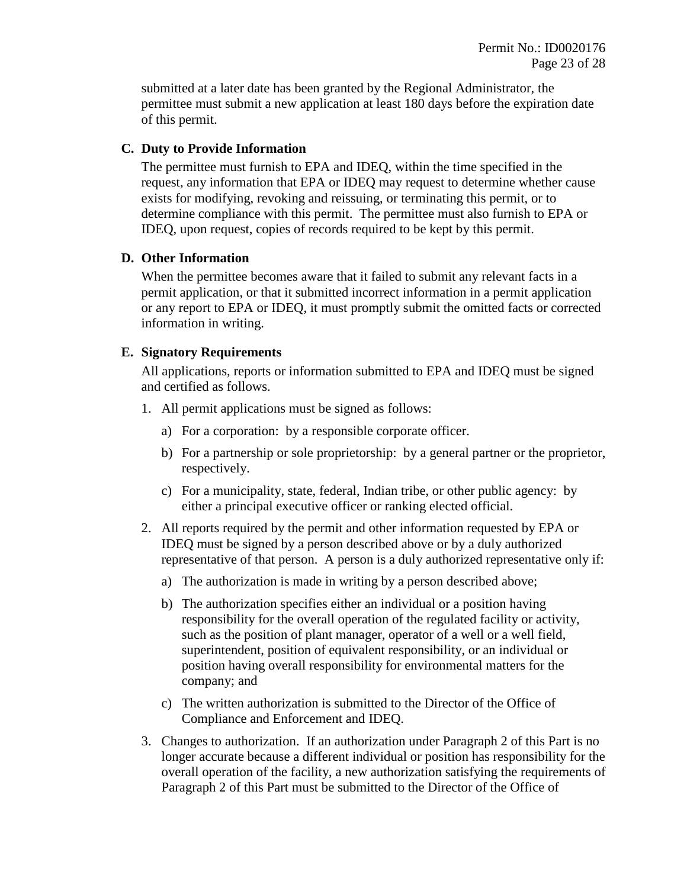submitted at a later date has been granted by the Regional Administrator, the permittee must submit a new application at least 180 days before the expiration date of this permit.

### **C. Duty to Provide Information**

The permittee must furnish to EPA and IDEQ*,* within the time specified in the request, any information that EPA or IDEQ may request to determine whether cause exists for modifying, revoking and reissuing, or terminating this permit, or to determine compliance with this permit. The permittee must also furnish to EPA or IDEQ, upon request, copies of records required to be kept by this permit.

### **D. Other Information**

When the permittee becomes aware that it failed to submit any relevant facts in a permit application, or that it submitted incorrect information in a permit application or any report to EPA or IDEQ*,* it must promptly submit the omitted facts or corrected information in writing.

### <span id="page-22-0"></span>**E. Signatory Requirements**

All applications, reports or information submitted to EPA and IDEQ must be signed and certified as follows.

- 1. All permit applications must be signed as follows:
	- a) For a corporation: by a responsible corporate officer.
	- b) For a partnership or sole proprietorship: by a general partner or the proprietor, respectively.
	- c) For a municipality, state, federal, Indian tribe, or other public agency: by either a principal executive officer or ranking elected official.
- <span id="page-22-1"></span>2. All reports required by the permit and other information requested by EPA or IDEQ must be signed by a person described above or by a duly authorized representative of that person. A person is a duly authorized representative only if:
	- a) The authorization is made in writing by a person described above;
	- b) The authorization specifies either an individual or a position having responsibility for the overall operation of the regulated facility or activity, such as the position of plant manager, operator of a well or a well field, superintendent, position of equivalent responsibility, or an individual or position having overall responsibility for environmental matters for the company; and
	- c) The written authorization is submitted to the Director of the Office of Compliance and Enforcement and IDEQ.
- 3. Changes to authorization. If an authorization under Paragraph [2](#page-22-1) of this Part is no longer accurate because a different individual or position has responsibility for the overall operation of the facility, a new authorization satisfying the requirements of Paragraph [2](#page-22-1) of this Part must be submitted to the Director of the Office of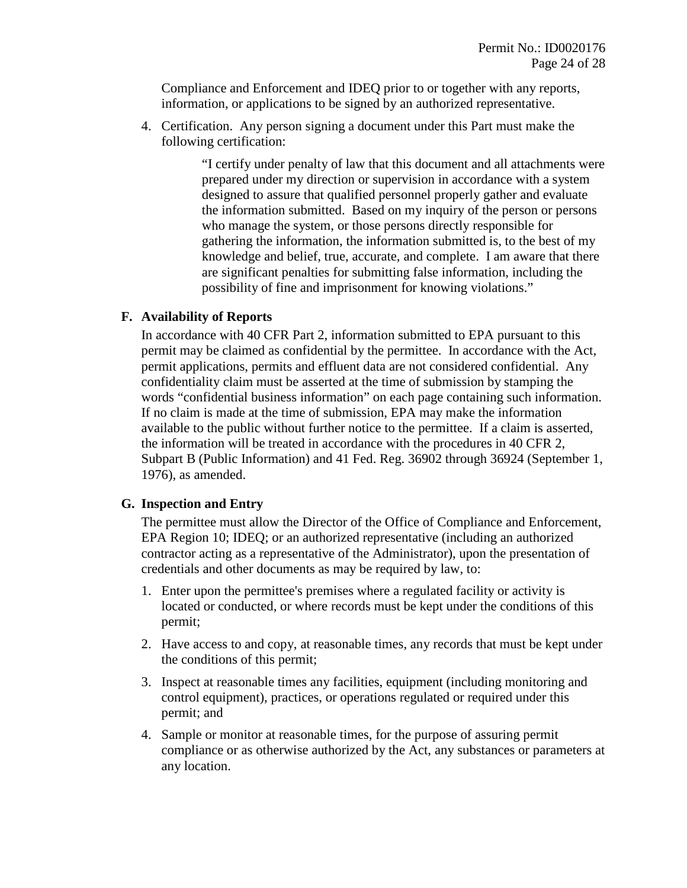Compliance and Enforcement and IDEQ prior to or together with any reports, information, or applications to be signed by an authorized representative.

4. Certification. Any person signing a document under this Part must make the following certification:

> "I certify under penalty of law that this document and all attachments were prepared under my direction or supervision in accordance with a system designed to assure that qualified personnel properly gather and evaluate the information submitted. Based on my inquiry of the person or persons who manage the system, or those persons directly responsible for gathering the information, the information submitted is, to the best of my knowledge and belief, true, accurate, and complete. I am aware that there are significant penalties for submitting false information, including the possibility of fine and imprisonment for knowing violations."

### **F. Availability of Reports**

In accordance with 40 CFR Part 2, information submitted to EPA pursuant to this permit may be claimed as confidential by the permittee. In accordance with the Act, permit applications, permits and effluent data are not considered confidential. Any confidentiality claim must be asserted at the time of submission by stamping the words "confidential business information" on each page containing such information. If no claim is made at the time of submission, EPA may make the information available to the public without further notice to the permittee. If a claim is asserted, the information will be treated in accordance with the procedures in 40 CFR 2, Subpart B (Public Information) and 41 Fed. Reg. 36902 through 36924 (September 1, 1976), as amended.

### **G. Inspection and Entry**

The permittee must allow the Director of the Office of Compliance and Enforcement, EPA Region 10; IDEQ; or an authorized representative (including an authorized contractor acting as a representative of the Administrator), upon the presentation of credentials and other documents as may be required by law, to:

- 1. Enter upon the permittee's premises where a regulated facility or activity is located or conducted, or where records must be kept under the conditions of this permit;
- 2. Have access to and copy, at reasonable times, any records that must be kept under the conditions of this permit;
- 3. Inspect at reasonable times any facilities, equipment (including monitoring and control equipment), practices, or operations regulated or required under this permit; and
- 4. Sample or monitor at reasonable times, for the purpose of assuring permit compliance or as otherwise authorized by the Act, any substances or parameters at any location.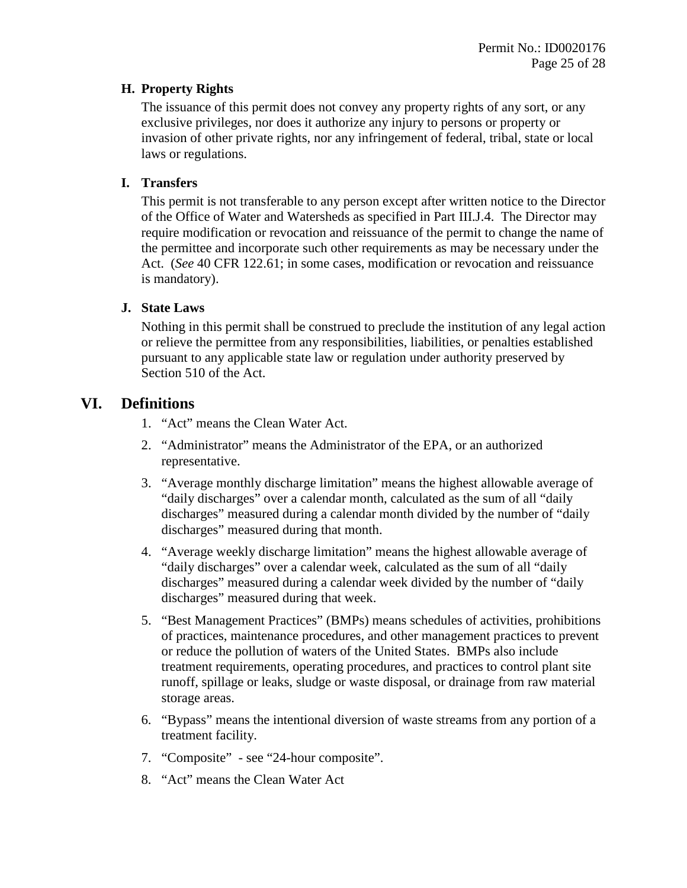### **H. Property Rights**

The issuance of this permit does not convey any property rights of any sort, or any exclusive privileges, nor does it authorize any injury to persons or property or invasion of other private rights, nor any infringement of federal, tribal, state or local laws or regulations.

### **I. Transfers**

This permit is not transferable to any person except after written notice to the Director of the Office of Water and Watersheds as specified in Part [III.J](#page-16-1)[.4.](#page-17-0) The Director may require modification or revocation and reissuance of the permit to change the name of the permittee and incorporate such other requirements as may be necessary under the Act. (*See* 40 CFR 122.61; in some cases, modification or revocation and reissuance is mandatory).

### **J. State Laws**

Nothing in this permit shall be construed to preclude the institution of any legal action or relieve the permittee from any responsibilities, liabilities, or penalties established pursuant to any applicable state law or regulation under authority preserved by Section 510 of the Act.

### <span id="page-24-0"></span>**VI. Definitions**

- 1. "Act" means the Clean Water Act.
- 2. "Administrator" means the Administrator of the EPA, or an authorized representative.
- 3. "Average monthly discharge limitation" means the highest allowable average of "daily discharges" over a calendar month, calculated as the sum of all "daily discharges" measured during a calendar month divided by the number of "daily discharges" measured during that month.
- 4. "Average weekly discharge limitation" means the highest allowable average of "daily discharges" over a calendar week, calculated as the sum of all "daily discharges" measured during a calendar week divided by the number of "daily discharges" measured during that week.
- 5. "Best Management Practices" (BMPs) means schedules of activities, prohibitions of practices, maintenance procedures, and other management practices to prevent or reduce the pollution of waters of the United States. BMPs also include treatment requirements, operating procedures, and practices to control plant site runoff, spillage or leaks, sludge or waste disposal, or drainage from raw material storage areas.
- 6. "Bypass" means the intentional diversion of waste streams from any portion of a treatment facility.
- 7. "Composite" see "24-hour composite".
- 8. "Act" means the Clean Water Act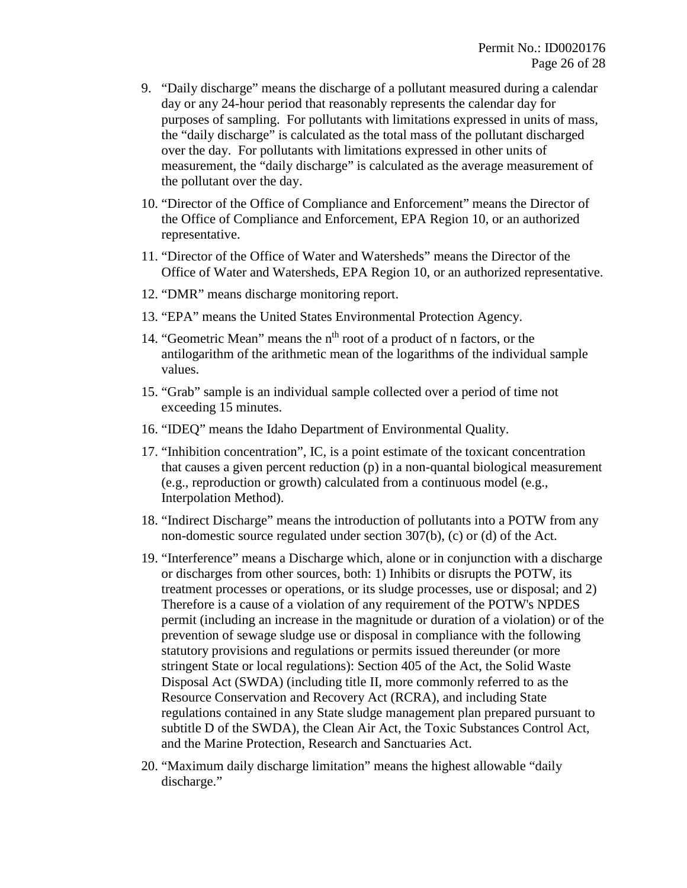- 9. "Daily discharge" means the discharge of a pollutant measured during a calendar day or any 24-hour period that reasonably represents the calendar day for purposes of sampling. For pollutants with limitations expressed in units of mass, the "daily discharge" is calculated as the total mass of the pollutant discharged over the day. For pollutants with limitations expressed in other units of measurement, the "daily discharge" is calculated as the average measurement of the pollutant over the day.
- 10. "Director of the Office of Compliance and Enforcement" means the Director of the Office of Compliance and Enforcement, EPA Region 10, or an authorized representative.
- 11. "Director of the Office of Water and Watersheds" means the Director of the Office of Water and Watersheds, EPA Region 10, or an authorized representative.
- 12. "DMR" means discharge monitoring report.
- 13. "EPA" means the United States Environmental Protection Agency.
- 14. "Geometric Mean" means the n<sup>th</sup> root of a product of n factors, or the antilogarithm of the arithmetic mean of the logarithms of the individual sample values.
- 15. "Grab" sample is an individual sample collected over a period of time not exceeding 15 minutes.
- 16. "IDEQ" means the Idaho Department of Environmental Quality.
- 17. "Inhibition concentration", IC, is a point estimate of the toxicant concentration that causes a given percent reduction (p) in a non-quantal biological measurement (e.g., reproduction or growth) calculated from a continuous model (e.g., Interpolation Method).
- 18. "Indirect Discharge" means the introduction of pollutants into a POTW from any non-domestic source regulated under section 307(b), (c) or (d) of the Act.
- 19. "Interference" means a Discharge which, alone or in conjunction with a discharge or discharges from other sources, both: 1) Inhibits or disrupts the POTW, its treatment processes or operations, or its sludge processes, use or disposal; and 2) Therefore is a cause of a violation of any requirement of the POTW's NPDES permit (including an increase in the magnitude or duration of a violation) or of the prevention of sewage sludge use or disposal in compliance with the following statutory provisions and regulations or permits issued thereunder (or more stringent State or local regulations): Section 405 of the Act, the Solid Waste Disposal Act (SWDA) (including title II, more commonly referred to as the Resource Conservation and Recovery Act (RCRA), and including State regulations contained in any State sludge management plan prepared pursuant to subtitle D of the SWDA), the Clean Air Act, the Toxic Substances Control Act, and the Marine Protection, Research and Sanctuaries Act.
- 20. "Maximum daily discharge limitation" means the highest allowable "daily discharge."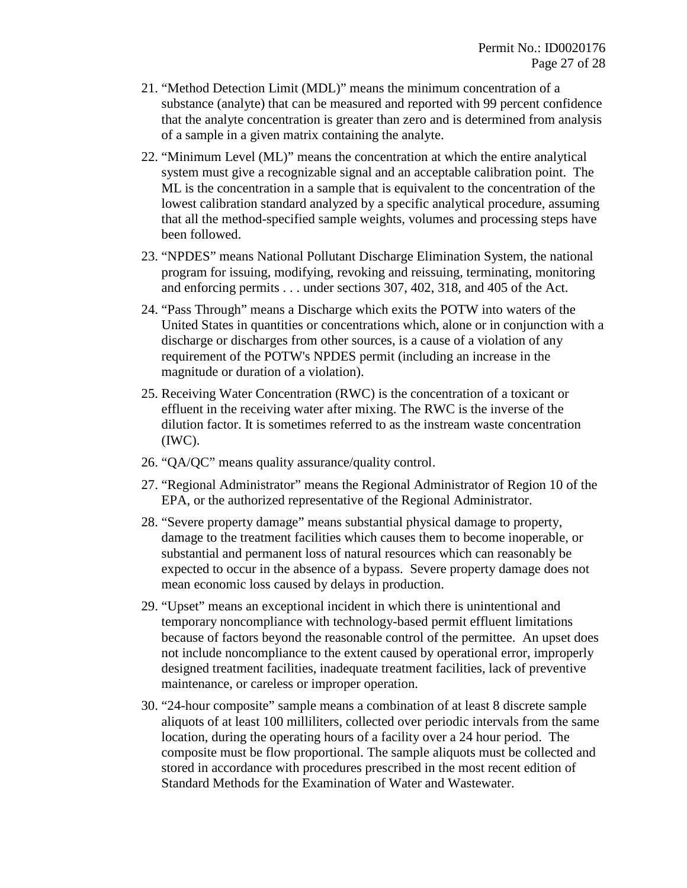- 21. "Method Detection Limit (MDL)" means the minimum concentration of a substance (analyte) that can be measured and reported with 99 percent confidence that the analyte concentration is greater than zero and is determined from analysis of a sample in a given matrix containing the analyte.
- 22. "Minimum Level (ML)" means the concentration at which the entire analytical system must give a recognizable signal and an acceptable calibration point. The ML is the concentration in a sample that is equivalent to the concentration of the lowest calibration standard analyzed by a specific analytical procedure, assuming that all the method-specified sample weights, volumes and processing steps have been followed.
- 23. "NPDES" means National Pollutant Discharge Elimination System, the national program for issuing, modifying, revoking and reissuing, terminating, monitoring and enforcing permits . . . under sections 307, 402, 318, and 405 of the Act.
- 24. "Pass Through" means a Discharge which exits the POTW into waters of the United States in quantities or concentrations which, alone or in conjunction with a discharge or discharges from other sources, is a cause of a violation of any requirement of the POTW's NPDES permit (including an increase in the magnitude or duration of a violation).
- 25. Receiving Water Concentration (RWC) is the concentration of a toxicant or effluent in the receiving water after mixing. The RWC is the inverse of the dilution factor. It is sometimes referred to as the instream waste concentration (IWC).
- 26. "QA/QC" means quality assurance/quality control.
- 27. "Regional Administrator" means the Regional Administrator of Region 10 of the EPA, or the authorized representative of the Regional Administrator.
- 28. "Severe property damage" means substantial physical damage to property, damage to the treatment facilities which causes them to become inoperable, or substantial and permanent loss of natural resources which can reasonably be expected to occur in the absence of a bypass. Severe property damage does not mean economic loss caused by delays in production.
- 29. "Upset" means an exceptional incident in which there is unintentional and temporary noncompliance with technology-based permit effluent limitations because of factors beyond the reasonable control of the permittee. An upset does not include noncompliance to the extent caused by operational error, improperly designed treatment facilities, inadequate treatment facilities, lack of preventive maintenance, or careless or improper operation.
- 30. "24-hour composite" sample means a combination of at least 8 discrete sample aliquots of at least 100 milliliters, collected over periodic intervals from the same location, during the operating hours of a facility over a 24 hour period. The composite must be flow proportional. The sample aliquots must be collected and stored in accordance with procedures prescribed in the most recent edition of Standard Methods for the Examination of Water and Wastewater.